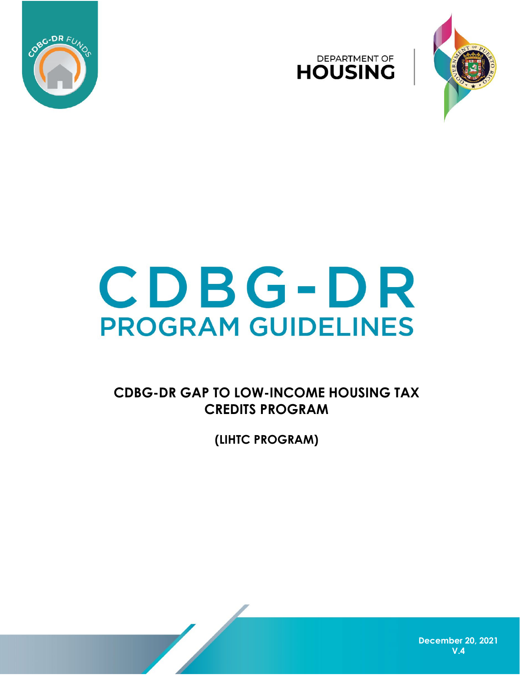





# CDBG-DR **PROGRAM GUIDELINES**

**CDBG-DR GAP TO LOW-INCOME HOUSING TAX CREDITS PROGRAM**

**(LIHTC PROGRAM)**

**March [●●2V.4 December 20, 2021 V.4**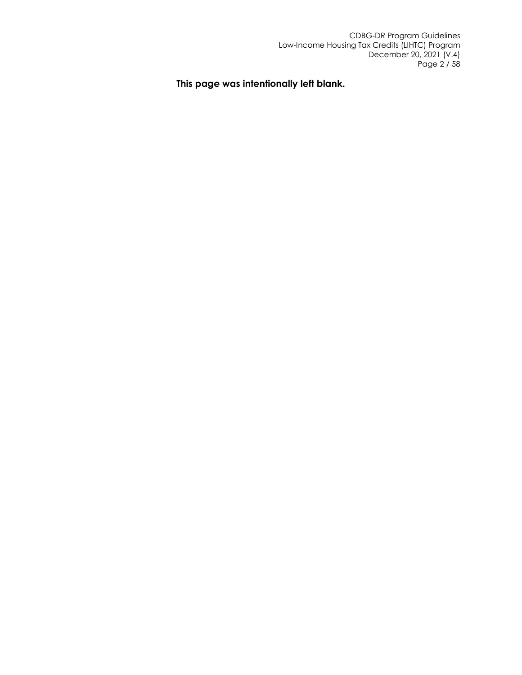CDBG-DR Program Guidelines Low-Income Housing Tax Credits (LIHTC) Program December 20, 2021 (V.4) Page 2 / 58

**This page was intentionally left blank.**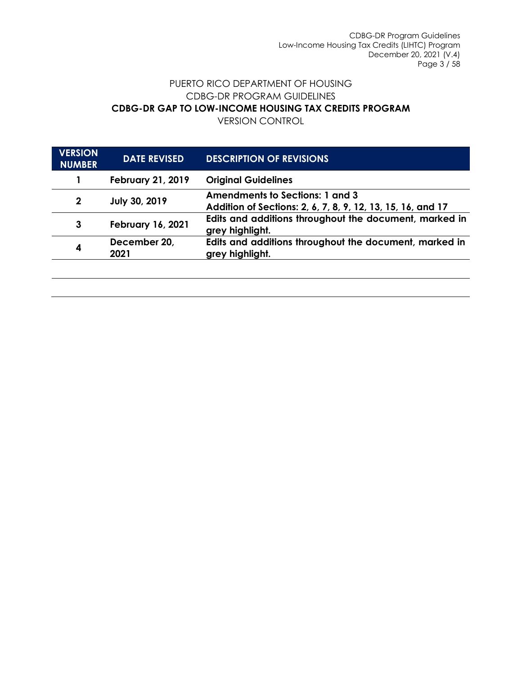CDBG-DR Program Guidelines Low-Income Housing Tax Credits (LIHTC) Program December 20, 2021 (V.4) Page 3 / 58

#### PUERTO RICO DEPARTMENT OF HOUSING CDBG-DR PROGRAM GUIDELINES **CDBG-DR GAP TO LOW-INCOME HOUSING TAX CREDITS PROGRAM** VERSION CONTROL

**VERSION NUMBER DATE REVISED DESCRIPTION OF REVISIONS 1 February 21, 2019 Original Guidelines <sup>2</sup> July 30, 2019 Amendments to Sections: 1 and 3 Addition of Sections: 2, 6, 7, 8, 9, 12, 13, 15, 16, and 17 <sup>3</sup> February 16, <sup>2021</sup> Edits and additions throughout the document, marked in grey highlight. <sup>4</sup> December 20, 2021 Edits and additions throughout the document, marked in grey highlight.**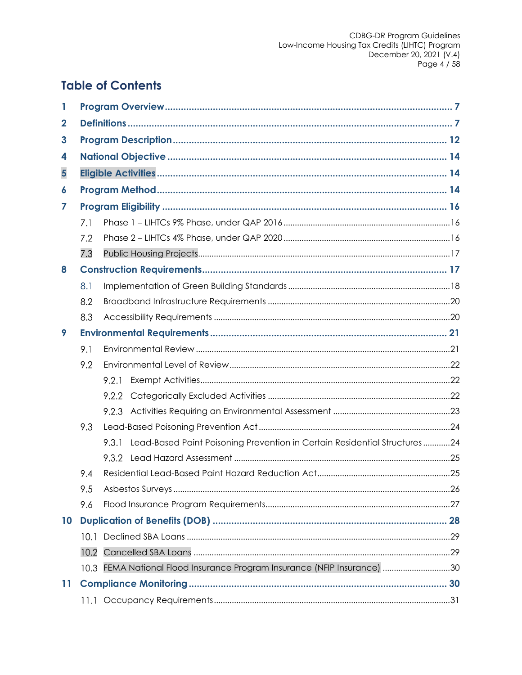# **Table of Contents**

| 1            |      |       |                                                                           |  |
|--------------|------|-------|---------------------------------------------------------------------------|--|
| $\mathbf{2}$ |      |       |                                                                           |  |
| $\mathbf{3}$ |      |       |                                                                           |  |
| 4            |      |       |                                                                           |  |
| 5            |      |       |                                                                           |  |
| 6            |      |       |                                                                           |  |
| 7            |      |       |                                                                           |  |
|              | 7.1  |       |                                                                           |  |
|              | 7.2  |       |                                                                           |  |
|              | 7.3  |       |                                                                           |  |
| 8            |      |       |                                                                           |  |
|              | 8.1  |       |                                                                           |  |
|              | 8.2  |       |                                                                           |  |
|              | 8.3  |       |                                                                           |  |
| 9            |      |       |                                                                           |  |
|              | 9.1  |       |                                                                           |  |
|              | 9.2  |       |                                                                           |  |
|              |      | 9.2.1 |                                                                           |  |
|              |      | 9.2.2 |                                                                           |  |
|              |      |       |                                                                           |  |
|              | 9.3  |       |                                                                           |  |
|              |      | 9.3.1 | Lead-Based Paint Poisoning Prevention in Certain Residential Structures24 |  |
|              |      | 9.3.2 |                                                                           |  |
|              | 9.4  |       |                                                                           |  |
|              | 9.5  |       |                                                                           |  |
|              | 9.6  |       |                                                                           |  |
| 10           |      |       |                                                                           |  |
|              | 10.1 |       |                                                                           |  |
|              | 10.2 |       |                                                                           |  |
|              |      |       | 10.3 FEMA National Flood Insurance Program Insurance (NFIP Insurance) 30  |  |
| 11           |      |       |                                                                           |  |
|              |      |       |                                                                           |  |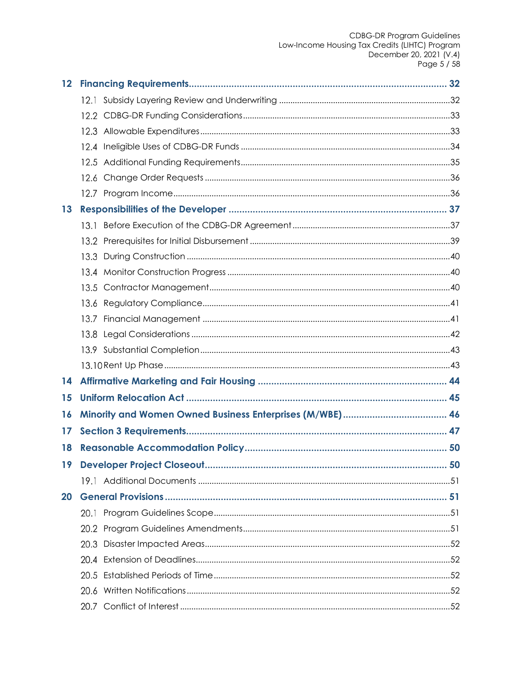| 12 <sup>°</sup> |  |  |  |
|-----------------|--|--|--|
|                 |  |  |  |
|                 |  |  |  |
|                 |  |  |  |
|                 |  |  |  |
|                 |  |  |  |
|                 |  |  |  |
|                 |  |  |  |
| 13              |  |  |  |
|                 |  |  |  |
|                 |  |  |  |
|                 |  |  |  |
|                 |  |  |  |
|                 |  |  |  |
|                 |  |  |  |
|                 |  |  |  |
|                 |  |  |  |
|                 |  |  |  |
|                 |  |  |  |
| 14              |  |  |  |
| 15              |  |  |  |
| 16              |  |  |  |
| 17              |  |  |  |
| 18              |  |  |  |
| 19              |  |  |  |
|                 |  |  |  |
| 20              |  |  |  |
|                 |  |  |  |
|                 |  |  |  |
|                 |  |  |  |
|                 |  |  |  |
|                 |  |  |  |
|                 |  |  |  |
|                 |  |  |  |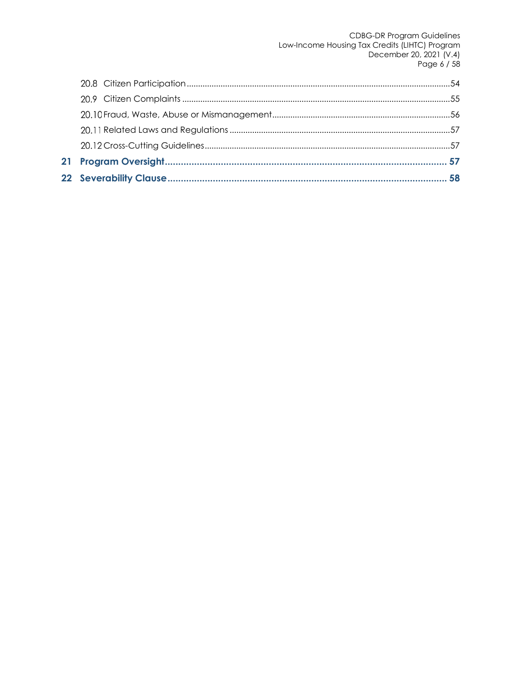CDBG-DR Program Guidelines<br>Low-Income Housing Tax Credits (LIHTC) Program<br>December 20, 2021 (V.4)<br>Page 6 / 58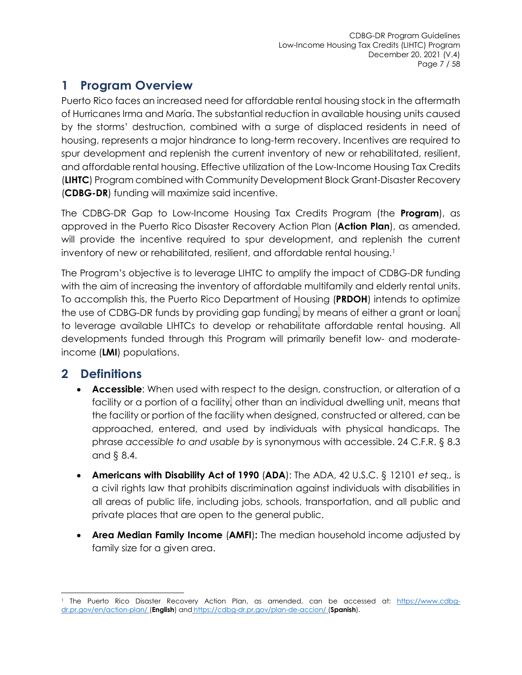# <span id="page-6-0"></span>**1 Program Overview**

Puerto Rico faces an increased need for affordable rental housing stock in the aftermath of Hurricanes Irma and María. The substantial reduction in available housing units caused by the storms' destruction, combined with a surge of displaced residents in need of housing, represents a major hindrance to long-term recovery. Incentives are required to spur development and replenish the current inventory of new or rehabilitated, resilient, and affordable rental housing. Effective utilization of the Low-Income Housing Tax Credits (**LIHTC**) Program combined with Community Development Block Grant-Disaster Recovery (**CDBG-DR**) funding will maximize said incentive.

The CDBG-DR Gap to Low-Income Housing Tax Credits Program (the **Program**), as approved in the Puerto Rico Disaster Recovery Action Plan (**Action Plan**), as amended, will provide the incentive required to spur development, and replenish the current inventory of new or rehabilitated, resilient, and affordable rental housing.<sup>[1](#page-6-2)</sup>

The Program's objective is to leverage LIHTC to amplify the impact of CDBG-DR funding with the aim of increasing the inventory of affordable multifamily and elderly rental units. To accomplish this, the Puerto Rico Department of Housing (**PRDOH**) intends to optimize the use of CDBG-DR funds by providing gap funding, by means of either a grant or loan, to leverage available LIHTCs to develop or rehabilitate affordable rental housing. All developments funded through this Program will primarily benefit low- and moderateincome (**LMI**) populations.

# <span id="page-6-1"></span>**2 Definitions**

- **Accessible**: When used with respect to the design, construction, or alteration of a facility or a portion of a facility, other than an individual dwelling unit, means that the facility or portion of the facility when designed, constructed or altered, can be approached, entered, and used by individuals with physical handicaps. The phrase *accessible to and usable by* is synonymous with accessible. 24 C.F.R. § 8.3 and § 8.4.
- **Americans with Disability Act of 1990** (**ADA**): The ADA, 42 U.S.C. § 12101 *et seq.,* is a civil rights law that prohibits discrimination against individuals with disabilities in all areas of public life, including jobs, schools, transportation, and all public and private places that are open to the general public.
- **Area Median Family Income** (**AMFI**)**:** The median household income adjusted by family size for a given area.

<span id="page-6-2"></span><sup>&</sup>lt;sup>1</sup> The Puerto Rico Disaster Recovery Action Plan, as amended, can be accessed at: [https://www.cdbg](https://www.cdbg-dr.pr.gov/en/action-plan/)[dr.pr.gov/en/action-plan/](https://www.cdbg-dr.pr.gov/en/action-plan/) (**English**) and <https://cdbg-dr.pr.gov/plan-de-accion/> (**Spanish**).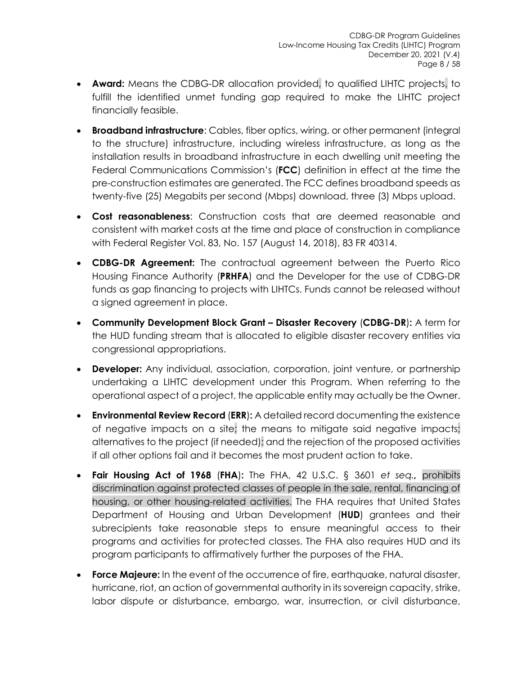- **Award:** Means the CDBG-DR allocation provided, to qualified LIHTC projects, to fulfill the identified unmet funding gap required to make the LIHTC project financially feasible.
- **Broadband infrastructure**: Cables, fiber optics, wiring, or other permanent (integral to the structure) infrastructure, including wireless infrastructure, as long as the installation results in broadband infrastructure in each dwelling unit meeting the Federal Communications Commission's (**FCC**) definition in effect at the time the pre-construction estimates are generated. The FCC defines broadband speeds as twenty-five (25) Megabits per second (Mbps) download, three (3) Mbps upload.
- **Cost reasonableness**: Construction costs that are deemed reasonable and consistent with market costs at the time and place of construction in compliance with Federal Register Vol. 83, No. 157 (August 14, 2018), 83 FR 40314.
- **CDBG-DR Agreement:** The contractual agreement between the Puerto Rico Housing Finance Authority (**PRHFA**) and the Developer for the use of CDBG-DR funds as gap financing to projects with LIHTCs. Funds cannot be released without a signed agreement in place.
- **Community Development Block Grant – Disaster Recovery** (**CDBG-DR**)**:** A term for the HUD funding stream that is allocated to eligible disaster recovery entities via congressional appropriations.
- **Developer:** Any individual, association, corporation, joint venture, or partnership undertaking a LIHTC development under this Program. When referring to the operational aspect of a project, the applicable entity may actually be the Owner.
- **Environmental Review Record** (**ERR**)**:** A detailed record documenting the existence of negative impacts on a site; the means to mitigate said negative impacts; alternatives to the project (if needed); and the rejection of the proposed activities if all other options fail and it becomes the most prudent action to take.
- **Fair Housing Act of 1968** (**FHA**)**:** The FHA, 42 U.S.C. § 3601 *et seq.,* prohibits discrimination against protected classes of people in the sale, rental, financing of housing, or other housing-related activities. The FHA requires that United States Department of Housing and Urban Development (**HUD**) grantees and their subrecipients take reasonable steps to ensure meaningful access to their programs and activities for protected classes. The FHA also requires HUD and its program participants to affirmatively further the purposes of the FHA.
- **Force Majeure:** In the event of the occurrence of fire, earthquake, natural disaster, hurricane, riot, an action of governmental authority in its sovereign capacity, strike, labor dispute or disturbance, embargo, war, insurrection, or civil disturbance,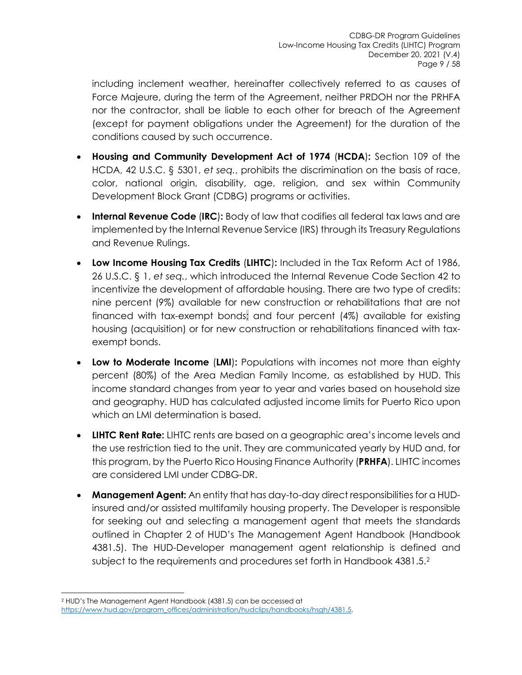including inclement weather, hereinafter collectively referred to as causes of Force Majeure, during the term of the Agreement, neither PRDOH nor the PRHFA nor the contractor, shall be liable to each other for breach of the Agreement (except for payment obligations under the Agreement) for the duration of the conditions caused by such occurrence.

- **Housing and Community Development Act of 1974** (**HCDA**)**:** Section 109 of the HCDA, 42 U.S.C. § 5301, *et seq.*, prohibits the discrimination on the basis of race, color, national origin, disability, age, religion, and sex within Community Development Block Grant (CDBG) programs or activities.
- **Internal Revenue Code** (**IRC**)**:** Body of law that codifies all federal tax laws and are implemented by the Internal Revenue Service (IRS) through its Treasury Regulations and Revenue Rulings.
- **Low Income Housing Tax Credits** (**LIHTC**)**:** Included in the Tax Reform Act of 1986, 26 U.S.C. § 1, *et seq.*, which introduced the Internal Revenue Code Section 42 to incentivize the development of affordable housing. There are two type of credits: nine percent (9%) available for new construction or rehabilitations that are not financed with tax-exempt bonds; and four percent (4%) available for existing housing (acquisition) or for new construction or rehabilitations financed with taxexempt bonds.
- **Low to Moderate Income** (**LMI**)**:** Populations with incomes not more than eighty percent (80%) of the Area Median Family Income, as established by HUD. This income standard changes from year to year and varies based on household size and geography. HUD has calculated adjusted income limits for Puerto Rico upon which an LMI determination is based.
- **LIHTC Rent Rate:** LIHTC rents are based on a geographic area's income levels and the use restriction tied to the unit. They are communicated yearly by HUD and, for this program, by the Puerto Rico Housing Finance Authority (**PRHFA**). LIHTC incomes are considered LMI under CDBG-DR.
- **Management Agent:** An entity that has day-to-day direct responsibilities for a HUDinsured and/or assisted multifamily housing property. The Developer is responsible for seeking out and selecting a management agent that meets the standards outlined in Chapter 2 of HUD's The Management Agent Handbook (Handbook 4381.5). The HUD-Developer management agent relationship is defined and subject to the requirements and procedures set forth in Handbook 4381.5[.2](#page-8-0)

<span id="page-8-0"></span> <sup>2</sup> HUD's The Management Agent Handbook (4381.5) can be accessed at [https://www.hud.gov/program\\_offices/administration/hudclips/handbooks/hsgh/4381.5.](https://www.hud.gov/program_offices/administration/hudclips/handbooks/hsgh/4381.5)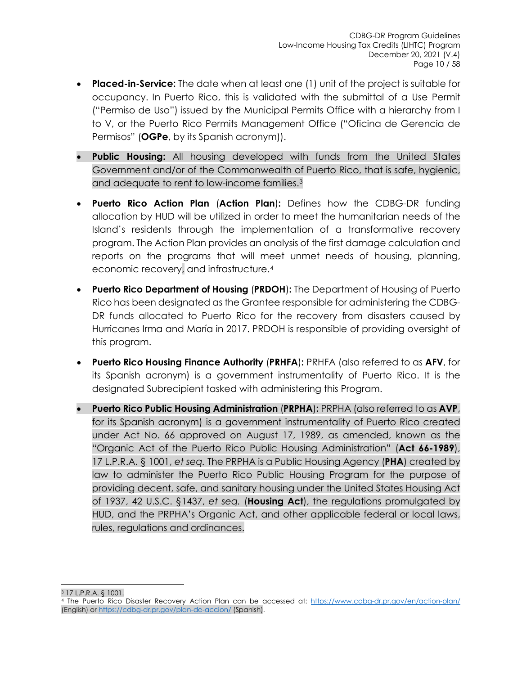- **Placed-in-Service:** The date when at least one (1) unit of the project is suitable for occupancy. In Puerto Rico, this is validated with the submittal of a Use Permit ("Permiso de Uso") issued by the Municipal Permits Office with a hierarchy from I to V, or the Puerto Rico Permits Management Office ("Oficina de Gerencia de Permisos" (**OGPe**, by its Spanish acronym)).
- **Public Housing:** All housing developed with funds from the United States Government and/or of the Commonwealth of Puerto Rico, that is safe, hygienic, and adequate to rent to low-income families[.3](#page-9-0)
- **Puerto Rico Action Plan** (**Action Plan**)**:** Defines how the CDBG-DR funding allocation by HUD will be utilized in order to meet the humanitarian needs of the Island's residents through the implementation of a transformative recovery program. The Action Plan provides an analysis of the first damage calculation and reports on the programs that will meet unmet needs of housing, planning, economic recovery, and infrastructure.[4](#page-9-1)
- **Puerto Rico Department of Housing** (**PRDOH**)**:** The Department of Housing of Puerto Rico has been designated as the Grantee responsible for administering the CDBG-DR funds allocated to Puerto Rico for the recovery from disasters caused by Hurricanes Irma and María in 2017. PRDOH is responsible of providing oversight of this program.
- **Puerto Rico Housing Finance Authority** (**PRHFA**)**:** PRHFA (also referred to as **AFV**, for its Spanish acronym) is a government instrumentality of Puerto Rico. It is the designated Subrecipient tasked with administering this Program.
- **Puerto Rico Public Housing Administration** (**PRPHA**)**:** PRPHA (also referred to as **AVP**, for its Spanish acronym) is a government instrumentality of Puerto Rico created under Act No. 66 approved on August 17, 1989, as amended, known as the "Organic Act of the Puerto Rico Public Housing Administration" (**Act 66-1989**), 17 L.P.R.A. § 1001, *et seq.* The PRPHA is a Public Housing Agency (**PHA**) created by law to administer the Puerto Rico Public Housing Program for the purpose of providing decent, safe, and sanitary housing under the United States Housing Act of 1937, 42 U.S.C. §1437, *et seq.* (**Housing Act**), the regulations promulgated by HUD, and the PRPHA's Organic Act, and other applicable federal or local laws, rules, regulations and ordinances.

<span id="page-9-0"></span>3 17 L.P.R.A. § 1001.

<span id="page-9-1"></span><sup>4</sup> The Puerto Rico Disaster Recovery Action Plan can be accessed at:<https://www.cdbg-dr.pr.gov/en/action-plan/> (English) o[r https://cdbg-dr.pr.gov/plan-de-accion/](https://cdbg-dr.pr.gov/plan-de-accion/) (Spanish).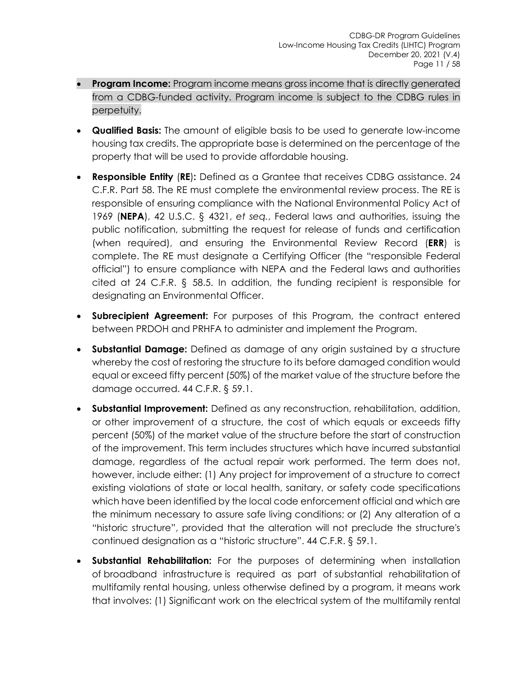- **Program Income:** Program income means gross income that is directly generated from a CDBG-funded activity. Program income is subject to the CDBG rules in perpetuity.
- **Qualified Basis:** The amount of eligible basis to be used to generate low-income housing tax credits. The appropriate base is determined on the percentage of the property that will be used to provide affordable housing.
- **Responsible Entity** (**RE**)**:** Defined as a Grantee that receives CDBG assistance. 24 C.F.R. Part 58. The RE must complete the environmental review process. The RE is responsible of ensuring compliance with the National Environmental Policy Act of 1969 (**NEPA**), 42 U.S.C. § 4321, *et seq.*, Federal laws and authorities, issuing the public notification, submitting the request for release of funds and certification (when required), and ensuring the Environmental Review Record (**ERR**) is complete. The RE must designate a Certifying Officer (the "responsible Federal official") to ensure compliance with NEPA and the Federal laws and authorities cited at 24 C.F.R. § 58.5. In addition, the funding recipient is responsible for designating an Environmental Officer.
- **Subrecipient Agreement:** For purposes of this Program, the contract entered between PRDOH and PRHFA to administer and implement the Program.
- **Substantial Damage:** Defined as damage of any origin sustained by a structure whereby the cost of restoring the structure to its before damaged condition would equal or exceed fifty percent (50%) of the market value of the structure before the damage occurred. 44 C.F.R. § 59.1.
- **Substantial Improvement:** Defined as any reconstruction, rehabilitation, addition, or other improvement of a structure, the cost of which equals or exceeds fifty percent (50%) of the market value of the structure before the start of construction of the improvement. This term includes structures which have incurred substantial damage, regardless of the actual repair work performed. The term does not, however, include either: (1) Any project for improvement of a structure to correct existing violations of state or local health, sanitary, or safety code specifications which have been identified by the local code enforcement official and which are the minimum necessary to assure safe living conditions; or (2) Any alteration of a "historic structure", provided that the alteration will not preclude the structure's continued designation as a "historic structure". 44 C.F.R. § 59.1.
- **Substantial Rehabilitation:** For the purposes of determining when installation of [broadband infrastructure](https://www.law.cornell.edu/definitions/index.php?width=840&height=800&iframe=true&def_id=994daaa2ea60d6c4779c220bfdeb4753&term_occur=999&term_src=Title:24:Subtitle:A:Part:5:Subpart:A:5.100) is required as part of [substantial rehabilitation](https://www.law.cornell.edu/definitions/index.php?width=840&height=800&iframe=true&def_id=477bf9a217e4b3c52ff062ea146048c2&term_occur=999&term_src=Title:24:Subtitle:A:Part:5:Subpart:A:5.100) of multifamily rental housing, unless otherwise defined by a program, it means work that involves: (1) Significant work on the electrical system of the multifamily rental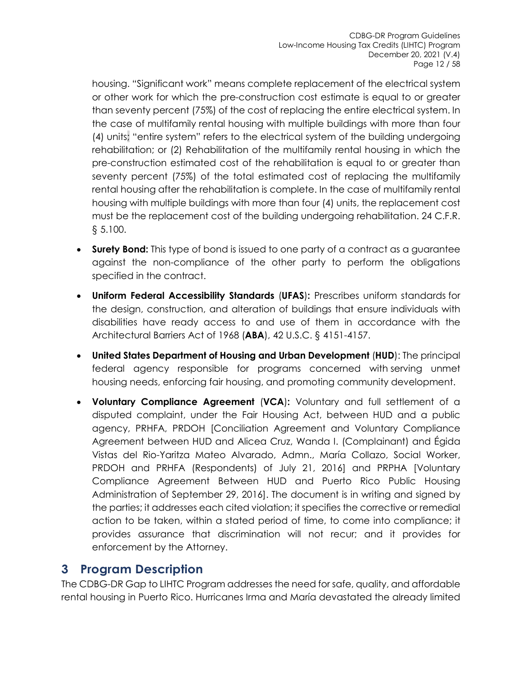housing. "Significant work" means complete replacement of the electrical system or other work for which the pre-construction cost estimate is equal to or greater than seventy percent (75%) of the cost of replacing the entire electrical system. In the case of multifamily rental housing with multiple buildings with more than four (4) units; "entire system" refers to the electrical system of the building undergoing rehabilitation; or (2) Rehabilitation of the multifamily rental housing in which the pre-construction estimated cost of the rehabilitation is equal to or greater than seventy percent (75%) of the total estimated cost of replacing the multifamily rental housing after the rehabilitation is complete. In the case of multifamily rental housing with multiple buildings with more than four (4) units, the replacement cost must be the replacement cost of the building undergoing rehabilitation. 24 C.F.R. § 5.100.

- **Surety Bond:** This type of bond is issued to one party of a contract as a guarantee against the non-compliance of the other party to perform the obligations specified in the contract.
- **Uniform Federal Accessibility Standards** (**UFAS**)**:** Prescribes uniform standards for the design, construction, and alteration of buildings that ensure individuals with disabilities have ready access to and use of them in accordance with the Architectural Barriers Act of 1968 (**ABA**), 42 U.S.C. § 4151-4157.
- **United States Department of Housing and Urban Development** (**HUD**): The principal federal agency responsible for programs concerned with serving unmet housing needs, enforcing fair housing, and promoting community development.
- **Voluntary Compliance Agreement** (**VCA**)**:** Voluntary and full settlement of a disputed complaint, under the Fair Housing Act, between HUD and a public agency, PRHFA, PRDOH [Conciliation Agreement and Voluntary Compliance Agreement between HUD and Alicea Cruz, Wanda I. (Complainant) and Égida Vistas del Rio-Yaritza Mateo Alvarado, Admn., María Collazo, Social Worker, PRDOH and PRHFA (Respondents) of July 21, 2016] and PRPHA [Voluntary Compliance Agreement Between HUD and Puerto Rico Public Housing Administration of September 29, 2016]. The document is in writing and signed by the parties; it addresses each cited violation; it specifies the corrective or remedial action to be taken, within a stated period of time, to come into compliance; it provides assurance that discrimination will not recur; and it provides for enforcement by the Attorney.

# <span id="page-11-0"></span>**3 Program Description**

The CDBG-DR Gap to LIHTC Program addresses the need for safe, quality, and affordable rental housing in Puerto Rico. Hurricanes Irma and María devastated the already limited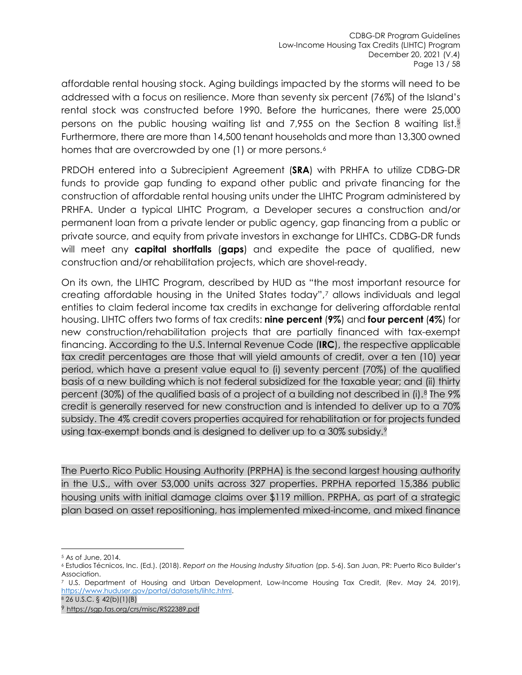affordable rental housing stock. Aging buildings impacted by the storms will need to be addressed with a focus on resilience. More than seventy six percent (76%) of the Island's rental stock was constructed before 1990. Before the hurricanes, there were 25,000 persons on the public housing waiting list and 7,955 on the Section 8 waiting list.[5](#page-12-0) Furthermore, there are more than 14,500 tenant households and more than 13,300 owned homes that are overcrowded by one (1) or more persons.<sup>[6](#page-12-1)</sup>

PRDOH entered into a Subrecipient Agreement (**SRA**) with PRHFA to utilize CDBG-DR funds to provide gap funding to expand other public and private financing for the construction of affordable rental housing units under the LIHTC Program administered by PRHFA. Under a typical LIHTC Program, a Developer secures a construction and/or permanent loan from a private lender or public agency, gap financing from a public or private source, and equity from private investors in exchange for LIHTCs. CDBG-DR funds will meet any **capital shortfalls** (**gaps**) and expedite the pace of qualified, new construction and/or rehabilitation projects, which are shovel-ready.

On its own, the LIHTC Program, described by HUD as "the most important resource for creating affordable housing in the United States today",[7](#page-12-2) allows individuals and legal entities to claim federal income tax credits in exchange for delivering affordable rental housing. LIHTC offers two forms of tax credits: **nine percent** (**9%**) and **four percent** (**4%**) for new construction/rehabilitation projects that are partially financed with tax-exempt financing. According to the U.S. Internal Revenue Code (**IRC**), the respective applicable tax credit percentages are those that will yield amounts of credit, over a ten (10) year period, which have a present value equal to (i) seventy percent (70%) of the qualified basis of a new building which is not federal subsidized for the taxable year; and (ii) thirty percent (30%) of the qualified basis of a project of a building not described in (i).[8](#page-12-3) The 9% credit is generally reserved for new construction and is intended to deliver up to a 70% subsidy. The 4% credit covers properties acquired for rehabilitation or for projects funded using tax-exempt bonds and is designed to deliver up to a 30% subsidy.<sup>[9](#page-12-4)</sup>

The Puerto Rico Public Housing Authority (PRPHA) is the second largest housing authority in the U.S., with over 53,000 units across 327 properties. PRPHA reported 15,386 public housing units with initial damage claims over \$119 million. PRPHA, as part of a strategic plan based on asset repositioning, has implemented mixed-income, and mixed finance

<span id="page-12-3"></span><sup>8</sup> 26 U.S.C. § 42(b)(1)(B)

<span id="page-12-0"></span> <sup>5</sup> As of June, 2014.

<span id="page-12-1"></span><sup>6</sup> Estudios Técnicos, Inc. (Ed.). (2018). *Report on the Housing Industry Situation* (pp. 5-6). San Juan, PR: Puerto Rico Builder's Association.

<span id="page-12-2"></span><sup>7</sup> U.S. Department of Housing and Urban Development, Low-Income Housing Tax Credit, (Rev. May 24, 2019), [https://www.huduser.gov/portal/datasets/lihtc.html.](https://www.huduser.gov/portal/datasets/lihtc.html)

<span id="page-12-4"></span><sup>9</sup> <https://sgp.fas.org/crs/misc/RS22389.pdf>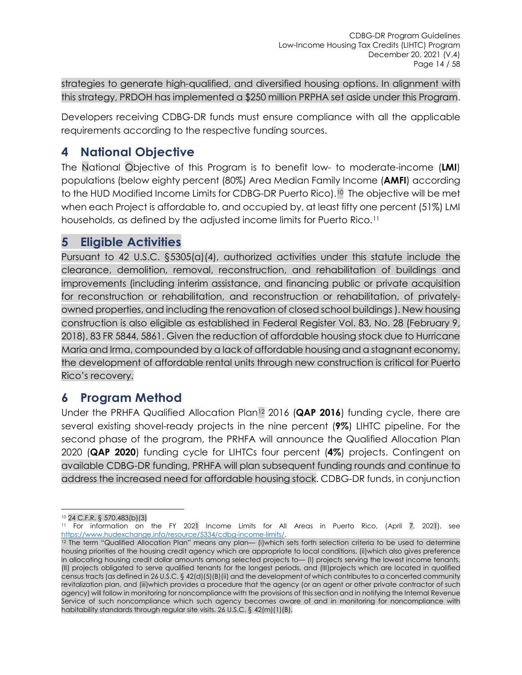strategies to generate high-qualified, and diversified housing options. In alignment with this strategy, PRDOH has implemented a \$250 million PRPHA set aside under this Program.

Developers receiving CDBG-DR funds must ensure compliance with all the applicable requirements according to the respective funding sources.

# <span id="page-13-0"></span>**4 National Objective**

The National Objective of this Program is to benefit low- to moderate-income (**LMI**) populations (below eighty percent (80%) Area Median Family Income (**AMFI**) according to the HUD Modified Income Limits for CDBG-DR Puerto Rico).[10](#page-13-3) The objective will be met when each Project is affordable to, and occupied by, at least fifty one percent (51%) LMI households, as defined by the adjusted income limits for Puerto Rico.[11](#page-13-4)

# <span id="page-13-1"></span>**5 Eligible Activities**

Pursuant to 42 U.S.C. §5305(a)(4), authorized activities under this statute include the clearance, demolition, removal, reconstruction, and rehabilitation of buildings and improvements (including interim assistance, and financing public or private acquisition for reconstruction or rehabilitation, and reconstruction or rehabilitation, of privatelyowned properties, and including the renovation of closed school buildings ). New housing construction is also eligible as established in Federal Register Vol. 83, No. 28 (February 9, 2018), 83 FR 5844, 5861. Given the reduction of affordable housing stock due to Hurricane Maria and Irma, compounded by a lack of affordable housing and a stagnant economy, the development of affordable rental units through new construction is critical for Puerto Rico's recovery.

# <span id="page-13-2"></span>**6 Program Method**

Under the PRHFA Qualified Allocation Plan[12](#page-13-5) 2016 (**QAP 2016**) funding cycle, there are several existing shovel-ready projects in the nine percent (**9%**) LIHTC pipeline. For the second phase of the program, the PRHFA will announce the Qualified Allocation Plan 2020 (**QAP 2020**) funding cycle for LIHTCs four percent (**4%**) projects. Contingent on available CDBG-DR funding, PRHFA will plan subsequent funding rounds and continue to address the increased need for affordable housing stock. CDBG-DR funds, in conjunction

<span id="page-13-3"></span> <sup>10</sup> 24 C.F.R. § 570.483(b)(3)

<span id="page-13-4"></span><sup>11</sup> For information on the FY 2021 Income Limits for All Areas in Puerto Rico, (April 7, 2021), see [https://www.hudexchange.info/resource/5334/cdbg-income-limits/.](https://www.hudexchange.info/resource/5334/cdbg-income-limits/)

<span id="page-13-5"></span><sup>12</sup> The term "Qualified Allocation Plan" means any plan— (i)which sets forth selection criteria to be used to determine housing priorities of the housing credit agency which are appropriate to local conditions, (ii)which also gives preference in allocating housing credit dollar amounts among selected projects to— (I) projects serving the lowest income tenants, (II) projects obligated to serve qualified tenants for the longest periods, and (III)projects which are located in qualified census tracts (as defined in 26 U.S.C. § 42(d)(5)(B)(ii) and the development of which contributes to a concerted community revitalization plan, and (iii)which provides a procedure that the agency (or an agent or other private contractor of such agency) will follow in monitoring for noncompliance with the provisions of this section and in notifying the Internal Revenue Service of such noncompliance which such agency becomes aware of and in monitoring for noncompliance with habitability standards through regular site visits. 26 U.S.C. § 42(m)(1)(B).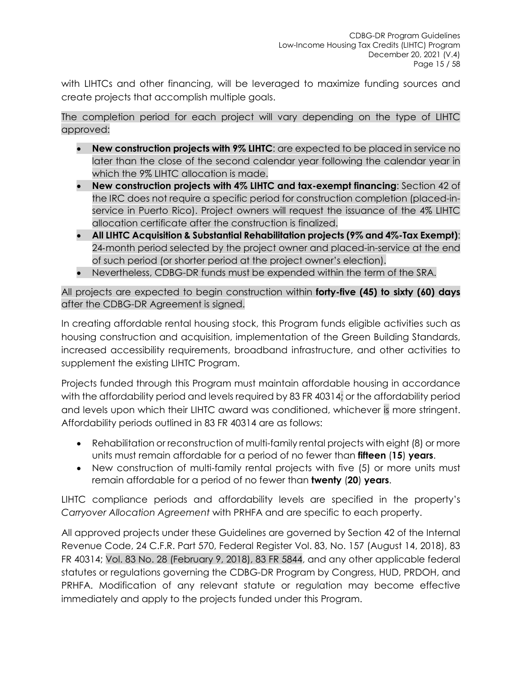with LIHTCs and other financing, will be leveraged to maximize funding sources and create projects that accomplish multiple goals.

The completion period for each project will vary depending on the type of LIHTC approved:

- **New construction projects with 9% LIHTC**: are expected to be placed in service no later than the close of the second calendar year following the calendar year in which the 9% LIHTC allocation is made.
- **New construction projects with 4% LIHTC and tax-exempt financing**: Section 42 of the IRC does not require a specific period for construction completion (placed-inservice in Puerto Rico). Project owners will request the issuance of the 4% LIHTC allocation certificate after the construction is finalized.
- **All LIHTC Acquisition & Substantial Rehabilitation projects (9% and 4%-Tax Exempt)**: 24‐month period selected by the project owner and placed-in-service at the end of such period (or shorter period at the project owner's election).
- Nevertheless, CDBG-DR funds must be expended within the term of the SRA.

All projects are expected to begin construction within **forty-five (45) to sixty (60) days** after the CDBG-DR Agreement is signed.

In creating affordable rental housing stock, this Program funds eligible activities such as housing construction and acquisition, implementation of the Green Building Standards, increased accessibility requirements, broadband infrastructure, and other activities to supplement the existing LIHTC Program.

Projects funded through this Program must maintain affordable housing in accordance with the affordability period and levels required by 83 FR 40314; or the affordability period and levels upon which their LIHTC award was conditioned, whichever is more stringent. Affordability periods outlined in 83 FR 40314 are as follows:

- Rehabilitation or reconstruction of multi-family rental projects with eight (8) or more units must remain affordable for a period of no fewer than **fifteen** (**15**) **years**.
- New construction of multi-family rental projects with five (5) or more units must remain affordable for a period of no fewer than **twenty** (**20**) **years**.

LIHTC compliance periods and affordability levels are specified in the property's *Carryover Allocation Agreement* with PRHFA and are specific to each property.

All approved projects under these Guidelines are governed by Section 42 of the Internal Revenue Code, 24 C.F.R. Part 570, Federal Register Vol. 83, No. 157 (August 14, 2018), 83 FR 40314; Vol. 83 No. 28 (February 9, 2018), 83 FR 5844, and any other applicable federal statutes or regulations governing the CDBG-DR Program by Congress, HUD, PRDOH, and PRHFA. Modification of any relevant statute or regulation may become effective immediately and apply to the projects funded under this Program.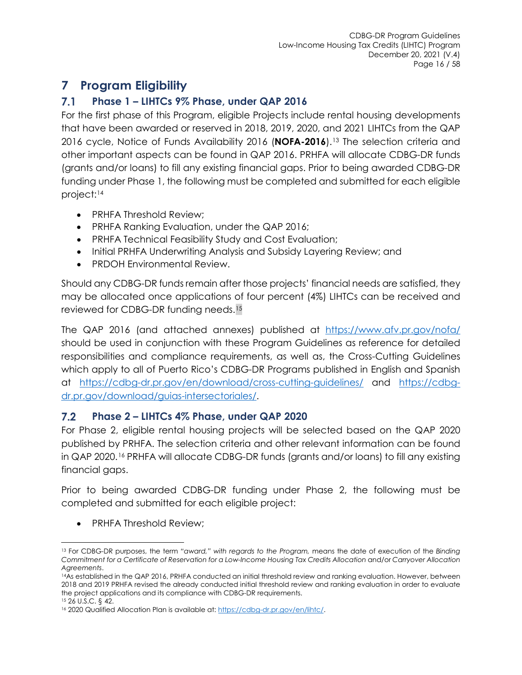# <span id="page-15-0"></span>**7 Program Eligibility**

#### <span id="page-15-1"></span> $7.1$ **Phase 1 – LIHTCs 9% Phase, under QAP 2016**

For the first phase of this Program, eligible Projects include rental housing developments that have been awarded or reserved in 2018, 2019, 2020, and 2021 LIHTCs from the QAP 2016 cycle, Notice of Funds Availability 2016 (**NOFA-2016**).[13](#page-15-3) The selection criteria and other important aspects can be found in QAP 2016. PRHFA will allocate CDBG-DR funds (grants and/or loans) to fill any existing financial gaps. Prior to being awarded CDBG-DR funding under Phase 1, the following must be completed and submitted for each eligible project:[14](#page-15-4)

- PRHFA Threshold Review;
- PRHFA Ranking Evaluation, under the QAP 2016;
- PRHFA Technical Feasibility Study and Cost Evaluation;
- Initial PRHFA Underwriting Analysis and Subsidy Layering Review; and
- PRDOH Environmental Review.

Should any CDBG-DR funds remain after those projects' financial needs are satisfied, they may be allocated once applications of four percent (4%) LIHTCs can be received and reviewed for CDBG-DR funding needs[.15](#page-15-5)

The QAP 2016 (and attached annexes) published at <https://www.afv.pr.gov/nofa/> should be used in conjunction with these Program Guidelines as reference for detailed responsibilities and compliance requirements, as well as, the Cross-Cutting Guidelines which apply to all of Puerto Rico's CDBG-DR Programs published in English and Spanish at <https://cdbg-dr.pr.gov/en/download/cross-cutting-guidelines/> and http[s://c](https://cdbg-dr.pr.gov/download/guias-intersectoriales/)dbgdr.pr.gov/download/guias-intersectoriales/.

#### <span id="page-15-2"></span> $7.2$ **Phase 2 – LIHTCs 4% Phase, under QAP 2020**

For Phase 2, eligible rental housing projects will be selected based on the QAP 2020 published by PRHFA. The selection criteria and other relevant information can be found in QAP 2020.[16](#page-15-6) PRHFA will allocate CDBG-DR funds (grants and/or loans) to fill any existing financial gaps.

Prior to being awarded CDBG-DR funding under Phase 2, the following must be completed and submitted for each eligible project:

• PRHFA Threshold Review;

<span id="page-15-3"></span> <sup>13</sup> For CDBG-DR purposes, the term *"award," with regards to the Program,* means the date of execution of the *Binding Commitment for a Certificate of Reservation for a Low-Income Housing Tax Credits Allocation* and/or *Carryover Allocation Agreements*.

<span id="page-15-4"></span><sup>14</sup>As established in the QAP 2016, PRHFA conducted an initial threshold review and ranking evaluation. However, between 2018 and 2019 PRHFA revised the already conducted initial threshold review and ranking evaluation in order to evaluate the project applications and its compliance with CDBG-DR requirements.

<span id="page-15-5"></span><sup>15</sup> 26 U.S.C. § 42.

<span id="page-15-6"></span><sup>16</sup> 2020 Qualified Allocation Plan is available at: [https://cdbg-dr.pr.gov/en/lihtc/.](https://cdbg-dr.pr.gov/en/lihtc/)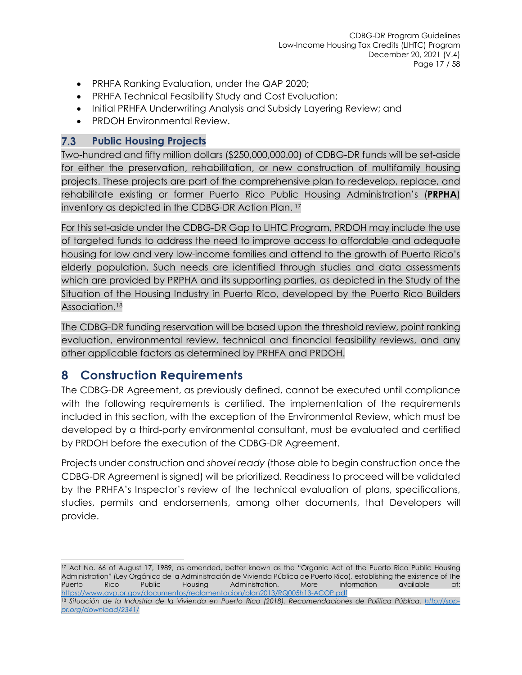CDBG-DR Program Guidelines Low-Income Housing Tax Credits (LIHTC) Program December 20, 2021 (V.4) Page 17 / 58

- PRHFA Ranking Evaluation, under the QAP 2020;
- PRHFA Technical Feasibility Study and Cost Evaluation;
- Initial PRHFA Underwriting Analysis and Subsidy Layering Review; and
- PRDOH Environmental Review.

#### <span id="page-16-0"></span>**Public Housing Projects**  $7.3$

Two-hundred and fifty million dollars (\$250,000,000.00) of CDBG-DR funds will be set-aside for either the preservation, rehabilitation, or new construction of multifamily housing projects. These projects are part of the comprehensive plan to redevelop, replace, and rehabilitate existing or former Puerto Rico Public Housing Administration's (**PRPHA**) inventory as depicted in the CDBG-DR Action Plan. [17](#page-16-2)

For this set-aside under the CDBG-DR Gap to LIHTC Program, PRDOH may include the use of targeted funds to address the need to improve access to affordable and adequate housing for low and very low-income families and attend to the growth of Puerto Rico's elderly population. Such needs are identified through studies and data assessments which are provided by PRPHA and its supporting parties, as depicted in the Study of the Situation of the Housing Industry in Puerto Rico, developed by the Puerto Rico Builders Association.<sup>[18](#page-16-3)</sup>

The CDBG-DR funding reservation will be based upon the threshold review, point ranking evaluation, environmental review, technical and financial feasibility reviews, and any other applicable factors as determined by PRHFA and PRDOH.

# <span id="page-16-1"></span>**8 Construction Requirements**

The CDBG-DR Agreement, as previously defined, cannot be executed until compliance with the following requirements is certified. The implementation of the requirements included in this section, with the exception of the Environmental Review, which must be developed by a third-party environmental consultant, must be evaluated and certified by PRDOH before the execution of the CDBG-DR Agreement.

Projects under construction and *shovel ready* (those able to begin construction once the CDBG-DR Agreement is signed) will be prioritized. Readiness to proceed will be validated by the PRHFA's Inspector's review of the technical evaluation of plans, specifications, studies, permits and endorsements, among other documents, that Developers will provide.

<span id="page-16-3"></span><span id="page-16-2"></span><sup>&</sup>lt;sup>17</sup> Act No. 66 of August 17, 1989, as amended, better known as the "Organic Act of the Puerto Rico Public Housing Administration" (Ley Orgánica de la Administración de Vivienda Pública de Puerto Rico), establishing the existence of The Puerto Rico Public Housing Administration. More information available <https://www.avp.pr.gov/documentos/reglamentacion/plan2013/RQ005h13-ACOP.pdf> <sup>18</sup> *Situación de la Industria de la Vivienda en Puerto Rico (2018). Recomendaciones de Política Pública. [http://spp](http://spp-pr.org/download/2341/)[pr.org/download/2341/](http://spp-pr.org/download/2341/)*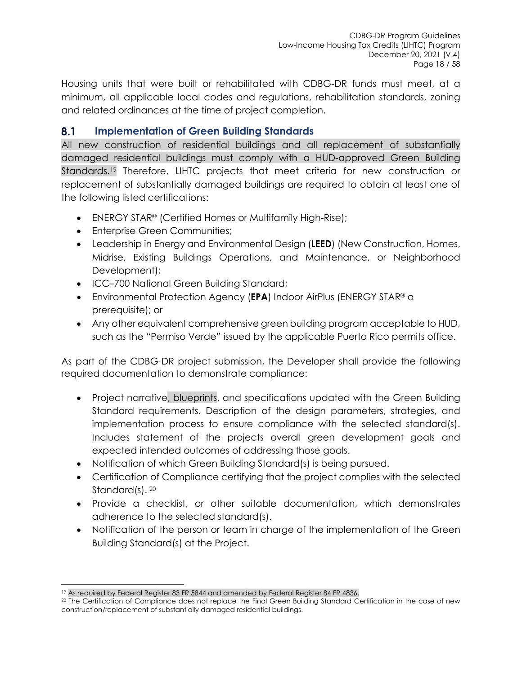Housing units that were built or rehabilitated with CDBG-DR funds must meet, at a minimum, all applicable local codes and regulations, rehabilitation standards, zoning and related ordinances at the time of project completion.

#### <span id="page-17-0"></span> $8.1$ **Implementation of Green Building Standards**

All new construction of residential buildings and all replacement of substantially damaged residential buildings must comply with a HUD-approved Green Building Standards.[19](#page-17-1) Therefore, LIHTC projects that meet criteria for new construction or replacement of substantially damaged buildings are required to obtain at least one of the following listed certifications:

- ENERGY STAR<sup>®</sup> (Certified Homes or Multifamily High-Rise);
- Enterprise Green Communities;
- Leadership in Energy and Environmental Design (**LEED**) (New Construction, Homes, Midrise, Existing Buildings Operations, and Maintenance, or Neighborhood Development);
- ICC–700 National Green Building Standard;
- Environmental Protection Agency (**EPA**) Indoor AirPlus (ENERGY STAR® a prerequisite); or
- Any other equivalent comprehensive green building program acceptable to HUD, such as the "Permiso Verde" issued by the applicable Puerto Rico permits office.

As part of the CDBG-DR project submission, the Developer shall provide the following required documentation to demonstrate compliance:

- Project narrative, blueprints, and specifications updated with the Green Building Standard requirements. Description of the design parameters, strategies, and implementation process to ensure compliance with the selected standard(s). Includes statement of the projects overall green development goals and expected intended outcomes of addressing those goals.
- Notification of which Green Building Standard(s) is being pursued.
- Certification of Compliance certifying that the project complies with the selected Standard(s). [20](#page-17-2)
- Provide a checklist, or other suitable documentation, which demonstrates adherence to the selected standard(s).
- Notification of the person or team in charge of the implementation of the Green Building Standard(s) at the Project.

<span id="page-17-1"></span> <sup>19</sup> As required by Federal Register 83 FR 5844 and amended by Federal Register 84 FR 4836.

<span id="page-17-2"></span><sup>20</sup> The Certification of Compliance does not replace the Final Green Building Standard Certification in the case of new construction/replacement of substantially damaged residential buildings.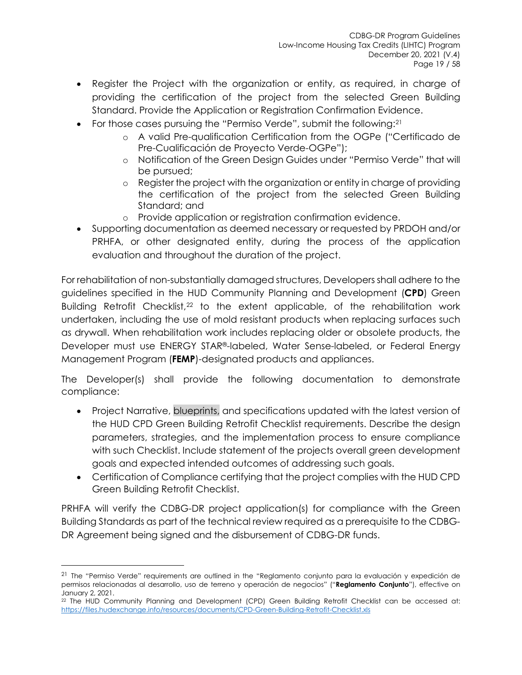- Register the Project with the organization or entity, as required, in charge of providing the certification of the project from the selected Green Building Standard. Provide the Application or Registration Confirmation Evidence.
- For those cases pursuing the "Permiso Verde", submit the following:<sup>[21](#page-18-0)</sup>
	- o A valid Pre-qualification Certification from the OGPe ("Certificado de Pre-Cualificación de Proyecto Verde-OGPe");
	- o Notification of the Green Design Guides under "Permiso Verde" that will be pursued;
	- o Register the project with the organization or entity in charge of providing the certification of the project from the selected Green Building Standard; and
	- o Provide application or registration confirmation evidence.
- Supporting documentation as deemed necessary or requested by PRDOH and/or PRHFA, or other designated entity, during the process of the application evaluation and throughout the duration of the project.

For rehabilitation of non-substantially damaged structures, Developers shall adhere to the guidelines specified in the HUD Community Planning and Development (**CPD**) Green Building Retrofit Checklist,<sup>[22](#page-18-1)</sup> to the extent applicable, of the rehabilitation work undertaken, including the use of mold resistant products when replacing surfaces such as drywall. When rehabilitation work includes replacing older or obsolete products, the Developer must use ENERGY STAR®-labeled, Water Sense-labeled, or Federal Energy Management Program (**FEMP**)-designated products and appliances.

The Developer(s) shall provide the following documentation to demonstrate compliance:

- Project Narrative, blueprints, and specifications updated with the latest version of the HUD CPD Green Building Retrofit Checklist requirements. Describe the design parameters, strategies, and the implementation process to ensure compliance with such Checklist. Include statement of the projects overall green development goals and expected intended outcomes of addressing such goals.
- Certification of Compliance certifying that the project complies with the HUD CPD Green Building Retrofit Checklist.

PRHFA will verify the CDBG-DR project application(s) for compliance with the Green Building Standards as part of the technical review required as a prerequisite to the CDBG-DR Agreement being signed and the disbursement of CDBG-DR funds.

<span id="page-18-0"></span><sup>&</sup>lt;sup>21</sup> The "Permiso Verde" requirements are outlined in the "Reglamento conjunto para la evaluación y expedición de permisos relacionadas al desarrollo, uso de terreno y operación de negocios" ("**Reglamento Conjunto**"), effective on January 2, 2021.

<span id="page-18-1"></span><sup>22</sup> The HUD Community Planning and Development (CPD) Green Building Retrofit Checklist can be accessed at: <https://files.hudexchange.info/resources/documents/CPD-Green-Building-Retrofit-Checklist.xls>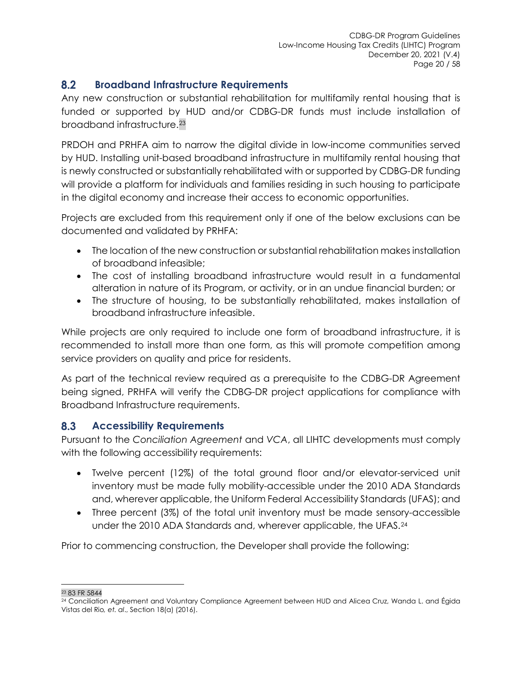#### <span id="page-19-0"></span> $8.2$ **Broadband Infrastructure Requirements**

Any new construction or substantial rehabilitation for multifamily rental housing that is funded or supported by HUD and/or CDBG-DR funds must include installation of broadband infrastructure.[23](#page-19-2)

PRDOH and PRHFA aim to narrow the digital divide in low-income communities served by HUD. Installing unit-based broadband infrastructure in multifamily rental housing that is newly constructed or substantially rehabilitated with or supported by CDBG-DR funding will provide a platform for individuals and families residing in such housing to participate in the digital economy and increase their access to economic opportunities.

Projects are excluded from this requirement only if one of the below exclusions can be documented and validated by PRHFA:

- The location of the new construction or substantial rehabilitation makes installation of broadband infeasible;
- The cost of installing broadband infrastructure would result in a fundamental alteration in nature of its Program, or activity, or in an undue financial burden; or
- The structure of housing, to be substantially rehabilitated, makes installation of broadband infrastructure infeasible.

While projects are only required to include one form of broadband infrastructure, it is recommended to install more than one form, as this will promote competition among service providers on quality and price for residents.

As part of the technical review required as a prerequisite to the CDBG-DR Agreement being signed, PRHFA will verify the CDBG-DR project applications for compliance with Broadband Infrastructure requirements.

#### <span id="page-19-1"></span> $8.3$ **Accessibility Requirements**

Pursuant to the *Conciliation Agreement* and *VCA*, all LIHTC developments must comply with the following accessibility requirements:

- Twelve percent (12%) of the total ground floor and/or elevator-serviced unit inventory must be made fully mobility-accessible under the 2010 ADA Standards and, wherever applicable, the Uniform Federal Accessibility Standards (UFAS); and
- Three percent (3%) of the total unit inventory must be made sensory-accessible under the 2010 ADA Standards and, wherever applicable, the UFAS.[24](#page-19-3)

Prior to commencing construction, the Developer shall provide the following:

23 83 FR 5844

<span id="page-19-3"></span><span id="page-19-2"></span><sup>24</sup> Conciliation Agreement and Voluntary Compliance Agreement between HUD and Alicea Cruz, Wanda L. and Égida Vistas del Rio*, et. al*., Section 18(a) (2016).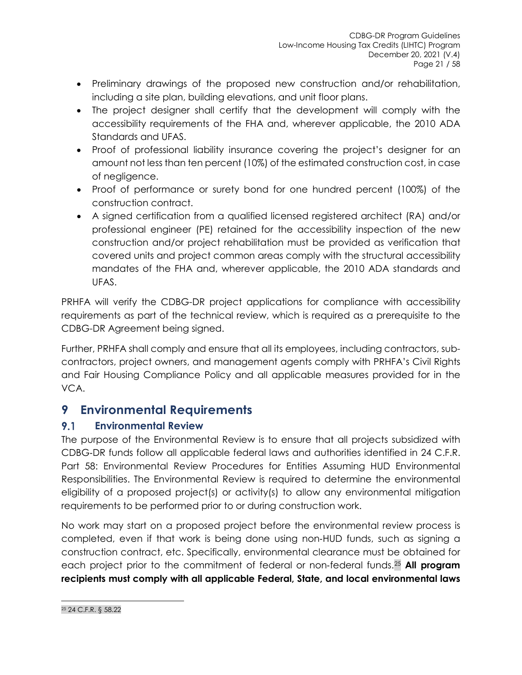- Preliminary drawings of the proposed new construction and/or rehabilitation, including a site plan, building elevations, and unit floor plans.
- The project designer shall certify that the development will comply with the accessibility requirements of the FHA and, wherever applicable, the 2010 ADA Standards and UFAS.
- Proof of professional liability insurance covering the project's designer for an amount not less than ten percent (10%) of the estimated construction cost, in case of negligence.
- Proof of performance or surety bond for one hundred percent (100%) of the construction contract.
- A signed certification from a qualified licensed registered architect (RA) and/or professional engineer (PE) retained for the accessibility inspection of the new construction and/or project rehabilitation must be provided as verification that covered units and project common areas comply with the structural accessibility mandates of the FHA and, wherever applicable, the 2010 ADA standards and UFAS.

PRHFA will verify the CDBG-DR project applications for compliance with accessibility requirements as part of the technical review, which is required as a prerequisite to the CDBG-DR Agreement being signed.

Further, PRHFA shall comply and ensure that all its employees, including contractors, subcontractors, project owners, and management agents comply with PRHFA's Civil Rights and Fair Housing Compliance Policy and all applicable measures provided for in the VCA.

# <span id="page-20-0"></span>**9 Environmental Requirements**

#### <span id="page-20-1"></span> $9.1$ **Environmental Review**

The purpose of the Environmental Review is to ensure that all projects subsidized with CDBG‐DR funds follow all applicable federal laws and authorities identified in 24 C.F.R. Part 58: Environmental Review Procedures for Entities Assuming HUD Environmental Responsibilities. The Environmental Review is required to determine the environmental eligibility of a proposed project(s) or activity(s) to allow any environmental mitigation requirements to be performed prior to or during construction work.

No work may start on a proposed project before the environmental review process is completed, even if that work is being done using non‐HUD funds, such as signing a construction contract, etc. Specifically, environmental clearance must be obtained for each project prior to the commitment of federal or non‐federal funds.[25](#page-20-2) **All program recipients must comply with all applicable Federal, State, and local environmental laws** 

<span id="page-20-2"></span> <sup>25</sup> 24 C.F.R. § 58.22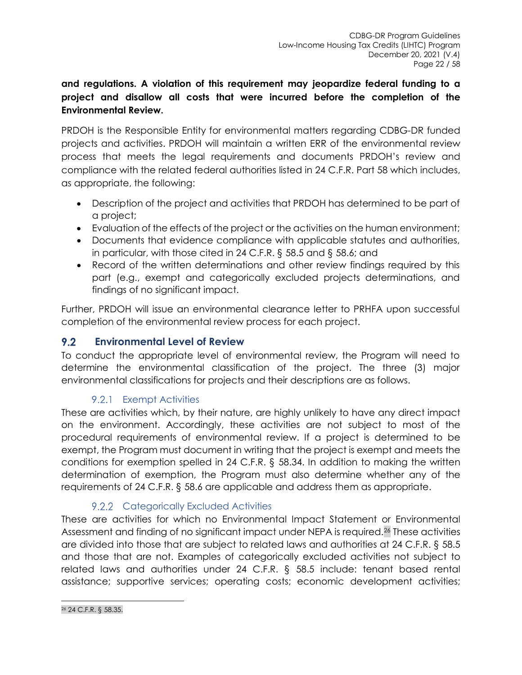#### **and regulations. A violation of this requirement may jeopardize federal funding to a project and disallow all costs that were incurred before the completion of the Environmental Review.**

PRDOH is the Responsible Entity for environmental matters regarding CDBG-DR funded projects and activities. PRDOH will maintain a written ERR of the environmental review process that meets the legal requirements and documents PRDOH's review and compliance with the related federal authorities listed in 24 C.F.R. Part 58 which includes, as appropriate, the following:

- Description of the project and activities that PRDOH has determined to be part of a project;
- Evaluation of the effects of the project or the activities on the human environment;
- Documents that evidence compliance with applicable statutes and authorities, in particular, with those cited in 24 C.F.R. § 58.5 and § 58.6; and
- Record of the written determinations and other review findings required by this part (e.g., exempt and categorically excluded projects determinations, and findings of no significant impact.

Further, PRDOH will issue an environmental clearance letter to PRHFA upon successful completion of the environmental review process for each project.

#### <span id="page-21-0"></span> $9.2$ **Environmental Level of Review**

To conduct the appropriate level of environmental review, the Program will need to determine the environmental classification of the project. The three (3) major environmental classifications for projects and their descriptions are as follows.

### <span id="page-21-1"></span>9.2.1 Exempt Activities

These are activities which, by their nature, are highly unlikely to have any direct impact on the environment. Accordingly, these activities are not subject to most of the procedural requirements of environmental review. If a project is determined to be exempt, the Program must document in writing that the project is exempt and meets the conditions for exemption spelled in 24 C.F.R. § 58.34. In addition to making the written determination of exemption, the Program must also determine whether any of the requirements of 24 C.F.R. § 58.6 are applicable and address them as appropriate.

### 9.2.2 Categorically Excluded Activities

<span id="page-21-3"></span><span id="page-21-2"></span>These are activities for which no Environmental Impact Statement or Environmental Assessment and finding of no significant impact under NEPA is required[.26](#page-21-3) These activities are divided into those that are subject to related laws and authorities at 24 C.F.R. § 58.5 and those that are not. Examples of categorically excluded activities not subject to related laws and authorities under 24 C.F.R. § 58.5 include: tenant based rental assistance; supportive services; operating costs; economic development activities;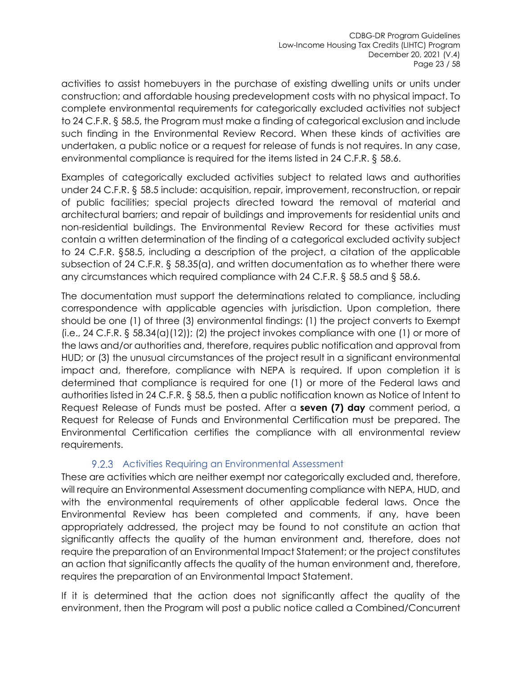activities to assist homebuyers in the purchase of existing dwelling units or units under construction; and affordable housing predevelopment costs with no physical impact. To complete environmental requirements for categorically excluded activities not subject to 24 C.F.R. § 58.5, the Program must make a finding of categorical exclusion and include such finding in the Environmental Review Record. When these kinds of activities are undertaken, a public notice or a request for release of funds is not requires. In any case, environmental compliance is required for the items listed in 24 C.F.R. § 58.6.

Examples of categorically excluded activities subject to related laws and authorities under 24 C.F.R. § 58.5 include: acquisition, repair, improvement, reconstruction, or repair of public facilities; special projects directed toward the removal of material and architectural barriers; and repair of buildings and improvements for residential units and non-residential buildings. The Environmental Review Record for these activities must contain a written determination of the finding of a categorical excluded activity subject to 24 C.F.R. §58.5, including a description of the project, a citation of the applicable subsection of 24 C.F.R. § 58.35(a), and written documentation as to whether there were any circumstances which required compliance with 24 C.F.R. § 58.5 and § 58.6.

The documentation must support the determinations related to compliance, including correspondence with applicable agencies with jurisdiction. Upon completion, there should be one (1) of three (3) environmental findings: (1) the project converts to Exempt  $(i.e., 24 C.F.R. § 58.34(a)(12))$ ; (2) the project invokes compliance with one (1) or more of the laws and/or authorities and, therefore, requires public notification and approval from HUD; or (3) the unusual circumstances of the project result in a significant environmental impact and, therefore, compliance with NEPA is required. If upon completion it is determined that compliance is required for one (1) or more of the Federal laws and authorities listed in 24 C.F.R. § 58.5, then a public notification known as Notice of Intent to Request Release of Funds must be posted. After a **seven (7) day** comment period, a Request for Release of Funds and Environmental Certification must be prepared. The Environmental Certification certifies the compliance with all environmental review requirements.

#### 9.2.3 Activities Requiring an Environmental Assessment

<span id="page-22-0"></span>These are activities which are neither exempt nor categorically excluded and, therefore, will require an Environmental Assessment documenting compliance with NEPA, HUD, and with the environmental requirements of other applicable federal laws. Once the Environmental Review has been completed and comments, if any, have been appropriately addressed, the project may be found to not constitute an action that significantly affects the quality of the human environment and, therefore, does not require the preparation of an Environmental Impact Statement; or the project constitutes an action that significantly affects the quality of the human environment and, therefore, requires the preparation of an Environmental Impact Statement.

If it is determined that the action does not significantly affect the quality of the environment, then the Program will post a public notice called a Combined/Concurrent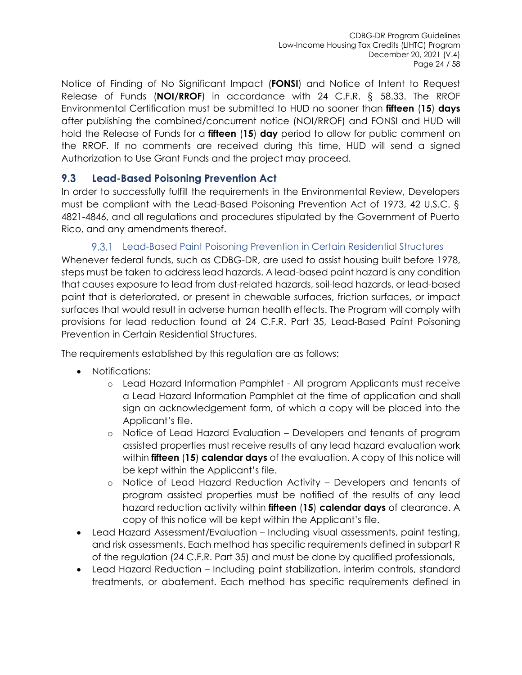Notice of Finding of No Significant Impact (**FONSI**) and Notice of Intent to Request Release of Funds (**NOI/RROF**) in accordance with 24 C.F.R. § 58.33. The RROF Environmental Certification must be submitted to HUD no sooner than **fifteen** (**15**) **days** after publishing the combined/concurrent notice (NOI/RROF) and FONSI and HUD will hold the Release of Funds for a **fifteen** (**15**) **day** period to allow for public comment on the RROF. If no comments are received during this time, HUD will send a signed Authorization to Use Grant Funds and the project may proceed.

#### <span id="page-23-0"></span> $9.3$ **Lead-Based Poisoning Prevention Act**

In order to successfully fulfill the requirements in the Environmental Review, Developers must be compliant with the Lead-Based Poisoning Prevention Act of 1973, 42 U.S.C. § 4821-4846, and all regulations and procedures stipulated by the Government of Puerto Rico, and any amendments thereof.

#### 9.3.1 Lead-Based Paint Poisoning Prevention in Certain Residential Structures

<span id="page-23-1"></span>Whenever federal funds, such as CDBG-DR, are used to assist housing built before 1978, steps must be taken to address lead hazards. A lead-based paint hazard is any condition that causes exposure to lead from dust-related hazards, soil-lead hazards, or lead-based paint that is deteriorated, or present in chewable surfaces, friction surfaces, or impact surfaces that would result in adverse human health effects. The Program will comply with provisions for lead reduction found at 24 C.F.R. Part 35, Lead-Based Paint Poisoning Prevention in Certain Residential Structures.

The requirements established by this regulation are as follows:

- Notifications:
	- o Lead Hazard Information Pamphlet All program Applicants must receive a Lead Hazard Information Pamphlet at the time of application and shall sign an acknowledgement form, of which a copy will be placed into the Applicant's file.
	- o Notice of Lead Hazard Evaluation Developers and tenants of program assisted properties must receive results of any lead hazard evaluation work within **fifteen** (**15**) **calendar days** of the evaluation. A copy of this notice will be kept within the Applicant's file.
	- o Notice of Lead Hazard Reduction Activity Developers and tenants of program assisted properties must be notified of the results of any lead hazard reduction activity within **fifteen** (**15**) **calendar days** of clearance. A copy of this notice will be kept within the Applicant's file.
- Lead Hazard Assessment/Evaluation Including visual assessments, paint testing, and risk assessments. Each method has specific requirements defined in subpart R of the regulation (24 C.F.R. Part 35) and must be done by qualified professionals,
- Lead Hazard Reduction Including paint stabilization, interim controls, standard treatments, or abatement. Each method has specific requirements defined in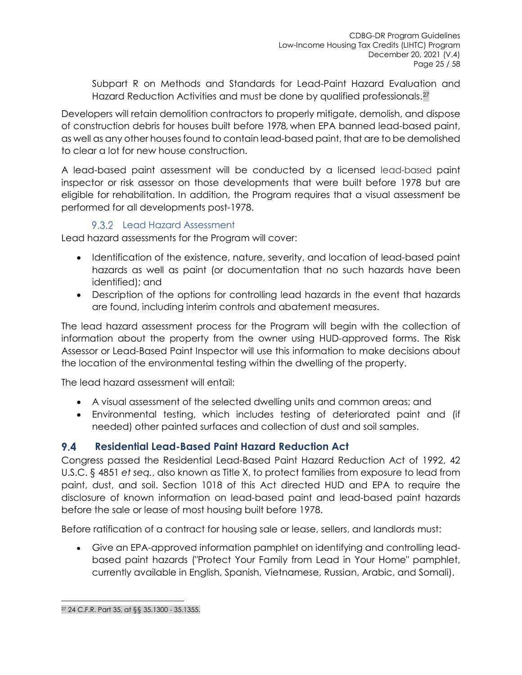Subpart R on Methods and Standards for Lead-Paint Hazard Evaluation and Hazard Reduction Activities and must be done by qualified professionals.<sup>[27](#page-24-2)</sup>

Developers will retain demolition contractors to properly mitigate, demolish, and dispose of construction debris for houses built before 1978, when EPA banned lead-based paint, as well as any other houses found to contain lead-based paint, that are to be demolished to clear a lot for new house construction.

A lead-based paint assessment will be conducted by a licensed lead-based paint inspector or risk assessor on those developments that were built before 1978 but are eligible for rehabilitation. In addition, the Program requires that a visual assessment be performed for all developments post-1978.

#### 9.3.2 Lead Hazard Assessment

<span id="page-24-0"></span>Lead hazard assessments for the Program will cover:

- Identification of the existence, nature, severity, and location of lead-based paint hazards as well as paint (or documentation that no such hazards have been identified); and
- Description of the options for controlling lead hazards in the event that hazards are found, including interim controls and abatement measures.

The lead hazard assessment process for the Program will begin with the collection of information about the property from the owner using HUD-approved forms. The Risk Assessor or Lead-Based Paint Inspector will use this information to make decisions about the location of the environmental testing within the dwelling of the property.

The lead hazard assessment will entail:

- A visual assessment of the selected dwelling units and common areas; and
- Environmental testing, which includes testing of deteriorated paint and (if needed) other painted surfaces and collection of dust and soil samples.

#### <span id="page-24-1"></span>**Residential Lead-Based Paint Hazard Reduction Act**  $9.4$

Congress passed the Residential Lead-Based Paint Hazard Reduction Act of 1992, 42 U.S.C. § 4851 *et seq.*, also known as Title X, to protect families from exposure to lead from paint, dust, and soil. Section 1018 of this Act directed HUD and EPA to require the disclosure of known information on lead-based paint and lead-based paint hazards before the sale or lease of most housing built before 1978.

Before ratification of a contract for housing sale or lease, sellers, and landlords must:

• Give an EPA-approved information pamphlet on identifying and controlling leadbased paint hazards ("Protect Your Family from Lead in Your Home" pamphlet, currently available in English, Spanish, Vietnamese, Russian, Arabic, and Somali).

<span id="page-24-2"></span> <sup>27</sup> 24 C.F.R. Part 35, at §§ 35.1300 - 35.1355.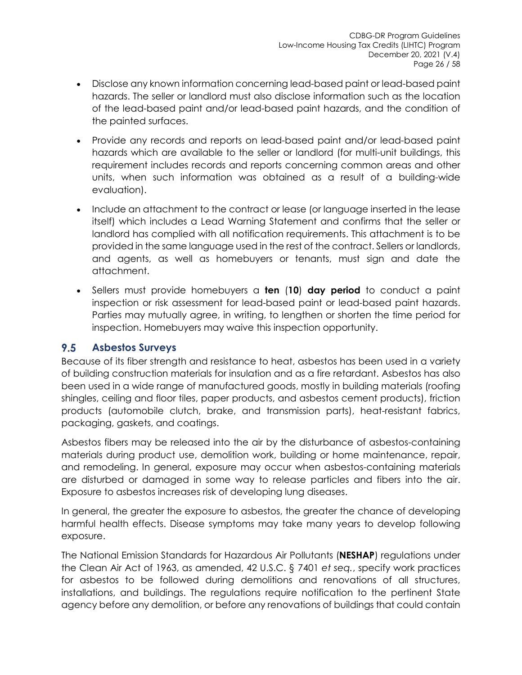- Disclose any known information concerning lead-based paint or lead-based paint hazards. The seller or landlord must also disclose information such as the location of the lead-based paint and/or lead-based paint hazards, and the condition of the painted surfaces.
- Provide any records and reports on lead-based paint and/or lead-based paint hazards which are available to the seller or landlord (for multi-unit buildings, this requirement includes records and reports concerning common areas and other units, when such information was obtained as a result of a building-wide evaluation).
- Include an attachment to the contract or lease (or language inserted in the lease itself) which includes a Lead Warning Statement and confirms that the seller or landlord has complied with all notification requirements. This attachment is to be provided in the same language used in the rest of the contract. Sellers or landlords, and agents, as well as homebuyers or tenants, must sign and date the attachment.
- Sellers must provide homebuyers a **ten** (**10**) **day period** to conduct a paint inspection or risk assessment for lead-based paint or lead-based paint hazards. Parties may mutually agree, in writing, to lengthen or shorten the time period for inspection. Homebuyers may waive this inspection opportunity.

#### <span id="page-25-0"></span> $9.5$ **Asbestos Surveys**

Because of its fiber strength and resistance to heat, asbestos has been used in a variety of building construction materials for insulation and as a fire retardant. Asbestos has also been used in a wide range of manufactured goods, mostly in building materials (roofing shingles, ceiling and floor tiles, paper products, and asbestos cement products), friction products (automobile clutch, brake, and transmission parts), heat-resistant fabrics, packaging, gaskets, and coatings.

Asbestos fibers may be released into the air by the disturbance of asbestos-containing materials during product use, demolition work, building or home maintenance, repair, and remodeling. In general, exposure may occur when asbestos-containing materials are disturbed or damaged in some way to release particles and fibers into the air. Exposure to asbestos increases risk of developing lung diseases.

In general, the greater the exposure to asbestos, the greater the chance of developing harmful health effects. Disease symptoms may take many years to develop following exposure.

The National Emission Standards for Hazardous Air Pollutants (**NESHAP**) regulations under the Clean Air Act of 1963, as amended, 42 U.S.C. § 7401 *et seq.*, specify work practices for asbestos to be followed during demolitions and renovations of all structures, installations, and buildings. The regulations require notification to the pertinent State agency before any demolition, or before any renovations of buildings that could contain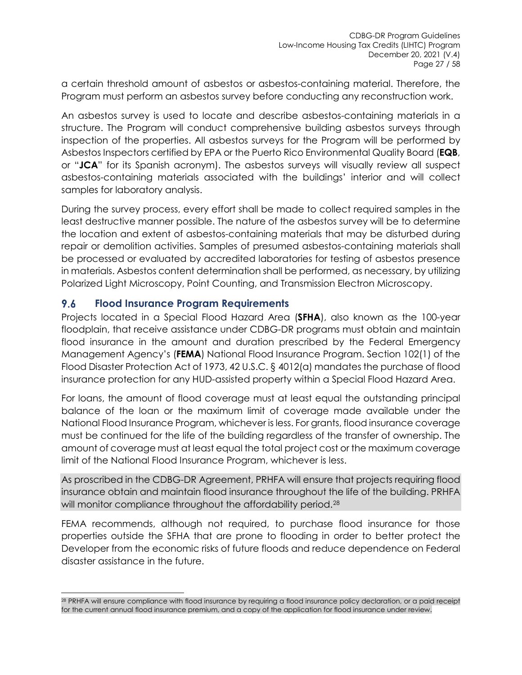a certain threshold amount of asbestos or asbestos-containing material. Therefore, the Program must perform an asbestos survey before conducting any reconstruction work.

An asbestos survey is used to locate and describe asbestos-containing materials in a structure. The Program will conduct comprehensive building asbestos surveys through inspection of the properties. All asbestos surveys for the Program will be performed by Asbestos Inspectors certified by EPA or the Puerto Rico Environmental Quality Board (**EQB**, or "**JCA**" for its Spanish acronym). The asbestos surveys will visually review all suspect asbestos-containing materials associated with the buildings' interior and will collect samples for laboratory analysis.

During the survey process, every effort shall be made to collect required samples in the least destructive manner possible. The nature of the asbestos survey will be to determine the location and extent of asbestos-containing materials that may be disturbed during repair or demolition activities. Samples of presumed asbestos-containing materials shall be processed or evaluated by accredited laboratories for testing of asbestos presence in materials. Asbestos content determination shall be performed, as necessary, by utilizing Polarized Light Microscopy, Point Counting, and Transmission Electron Microscopy.

#### <span id="page-26-0"></span>**Flood Insurance Program Requirements** 9.6

Projects located in a Special Flood Hazard Area (**SFHA**), also known as the 100-year floodplain, that receive assistance under CDBG-DR programs must obtain and maintain flood insurance in the amount and duration prescribed by the Federal Emergency Management Agency's (**FEMA**) National Flood Insurance Program. Section 102(1) of the Flood Disaster Protection Act of 1973, 42 U.S.C. § 4012(a) mandates the purchase of flood insurance protection for any HUD-assisted property within a Special Flood Hazard Area.

For loans, the amount of flood coverage must at least equal the outstanding principal balance of the loan or the maximum limit of coverage made available under the National Flood Insurance Program, whichever is less. For grants, flood insurance coverage must be continued for the life of the building regardless of the transfer of ownership. The amount of coverage must at least equal the total project cost or the maximum coverage limit of the National Flood Insurance Program, whichever is less.

As proscribed in the CDBG-DR Agreement, PRHFA will ensure that projects requiring flood insurance obtain and maintain flood insurance throughout the life of the building. PRHFA will monitor compliance throughout the affordability period.<sup>[28](#page-26-1)</sup>

FEMA recommends, although not required, to purchase flood insurance for those properties outside the SFHA that are prone to flooding in order to better protect the Developer from the economic risks of future floods and reduce dependence on Federal disaster assistance in the future.

<span id="page-26-1"></span> <sup>28</sup> PRHFA will ensure compliance with flood insurance by requiring a flood insurance policy declaration, or a paid receipt for the current annual flood insurance premium, and a copy of the application for flood insurance under review.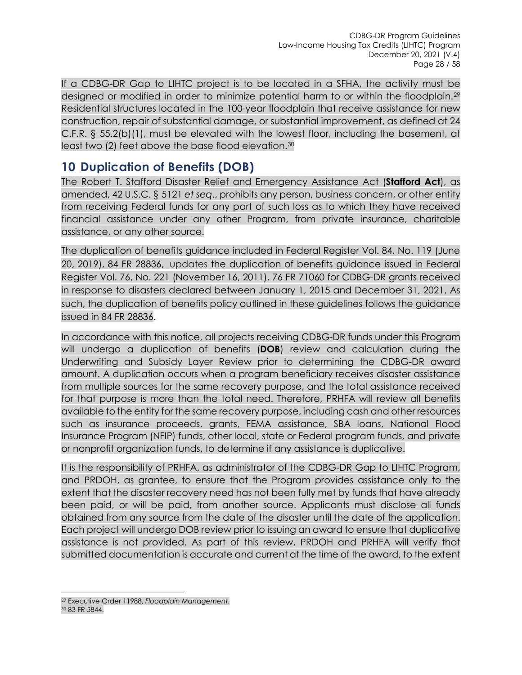If a CDBG-DR Gap to LIHTC project is to be located in a SFHA, the activity must be designed or modified in order to minimize potential harm to or within the floodplain.[29](#page-27-1) Residential structures located in the 100-year floodplain that receive assistance for new construction, repair of substantial damage, or substantial improvement, as defined at 24 C.F.R. § 55.2(b)(1), must be elevated with the lowest floor, including the basement, at least two (2) feet above the base flood elevation.<sup>[30](#page-27-2)</sup>

# <span id="page-27-0"></span>**10 Duplication of Benefits (DOB)**

The Robert T. Stafford Disaster Relief and Emergency Assistance Act (**Stafford Act**), as amended, 42 U.S.C. § 5121 *et seq*., prohibits any person, business concern, or other entity from receiving Federal funds for any part of such loss as to which they have received financial assistance under any other Program, from private insurance, charitable assistance, or any other source.

The duplication of benefits guidance included in Federal Register Vol. 84, No. 119 (June 20, 2019), 84 FR 28836, updates the duplication of benefits guidance issued in Federal Register Vol. 76, No. 221 (November 16, 2011), 76 FR 71060 for CDBG-DR grants received in response to disasters declared between January 1, 2015 and December 31, 2021. As such, the duplication of benefits policy outlined in these guidelines follows the guidance issued in 84 FR 28836.

In accordance with this notice, all projects receiving CDBG-DR funds under this Program will undergo a duplication of benefits (**DOB**) review and calculation during the Underwriting and Subsidy Layer Review prior to determining the CDBG-DR award amount. A duplication occurs when a program beneficiary receives disaster assistance from multiple sources for the same recovery purpose, and the total assistance received for that purpose is more than the total need. Therefore, PRHFA will review all benefits available to the entity for the same recovery purpose, including cash and other resources such as insurance proceeds, grants, FEMA assistance, SBA loans, National Flood Insurance Program (NFIP) funds, other local, state or Federal program funds, and private or nonprofit organization funds, to determine if any assistance is duplicative.

It is the responsibility of PRHFA, as administrator of the CDBG-DR Gap to LIHTC Program, and PRDOH, as grantee, to ensure that the Program provides assistance only to the extent that the disaster recovery need has not been fully met by funds that have already been paid, or will be paid, from another source. Applicants must disclose all funds obtained from any source from the date of the disaster until the date of the application. Each project will undergo DOB review prior to issuing an award to ensure that duplicative assistance is not provided. As part of this review, PRDOH and PRHFA will verify that submitted documentation is accurate and current at the time of the award, to the extent

<span id="page-27-2"></span><span id="page-27-1"></span> <sup>29</sup> Executive Order 11988, *Floodplain Management*. <sup>30</sup> 83 FR 5844.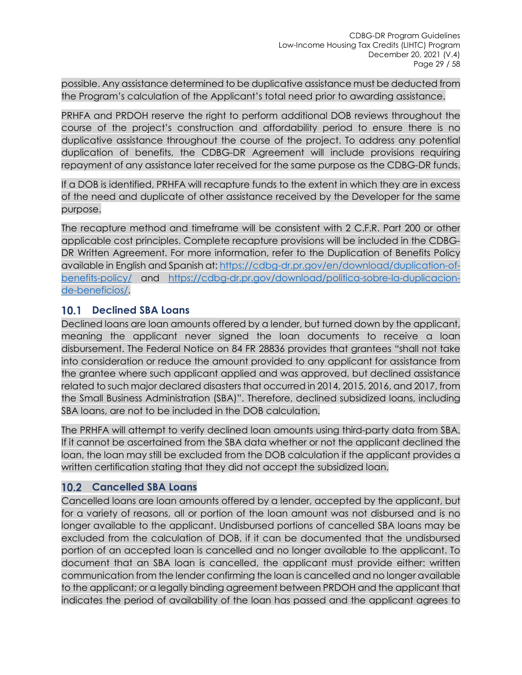possible. Any assistance determined to be duplicative assistance must be deducted from the Program's calculation of the Applicant's total need prior to awarding assistance.

PRHFA and PRDOH reserve the right to perform additional DOB reviews throughout the course of the project's construction and affordability period to ensure there is no duplicative assistance throughout the course of the project. To address any potential duplication of benefits, the CDBG-DR Agreement will include provisions requiring repayment of any assistance later received for the same purpose as the CDBG-DR funds.

If a DOB is identified, PRHFA will recapture funds to the extent in which they are in excess of the need and duplicate of other assistance received by the Developer for the same purpose.

The recapture method and timeframe will be consistent with 2 C.F.R. Part 200 or other applicable cost principles. Complete recapture provisions will be included in the CDBG-DR Written Agreement. For more information, refer to the Duplication of Benefits Policy available in English and Spanish at: [https://cdbg-dr.pr.gov/en/download/duplication-of](https://cdbg-dr.pr.gov/en/download/duplication-of-benefits-policy/)[benefits-policy/](https://cdbg-dr.pr.gov/en/download/duplication-of-benefits-policy/) and [https://cdbg-dr.pr.gov/download/politica-sobre-la-duplicacion](https://cdbg-dr.pr.gov/download/politica-sobre-la-duplicacion-de-beneficios/)[de-beneficios/.](https://cdbg-dr.pr.gov/download/politica-sobre-la-duplicacion-de-beneficios/)

#### <span id="page-28-0"></span>**Declined SBA Loans**  $10.1$

Declined loans are loan amounts offered by a lender, but turned down by the applicant, meaning the applicant never signed the loan documents to receive a loan disbursement. The Federal Notice on 84 FR 28836 provides that grantees "shall not take into consideration or reduce the amount provided to any applicant for assistance from the grantee where such applicant applied and was approved, but declined assistance related to such major declared disasters that occurred in 2014, 2015, 2016, and 2017, from the Small Business Administration (SBA)". Therefore, declined subsidized loans, including SBA loans, are not to be included in the DOB calculation.

The PRHFA will attempt to verify declined loan amounts using third-party data from SBA. If it cannot be ascertained from the SBA data whether or not the applicant declined the loan, the loan may still be excluded from the DOB calculation if the applicant provides a written certification stating that they did not accept the subsidized loan.

### <span id="page-28-1"></span>**10.2 Cancelled SBA Loans**

Cancelled loans are loan amounts offered by a lender, accepted by the applicant, but for a variety of reasons, all or portion of the loan amount was not disbursed and is no longer available to the applicant. Undisbursed portions of cancelled SBA loans may be excluded from the calculation of DOB, if it can be documented that the undisbursed portion of an accepted loan is cancelled and no longer available to the applicant. To document that an SBA loan is cancelled, the applicant must provide either: written communication from the lender confirming the loan is cancelled and no longer available to the applicant; or a legally binding agreement between PRDOH and the applicant that indicates the period of availability of the loan has passed and the applicant agrees to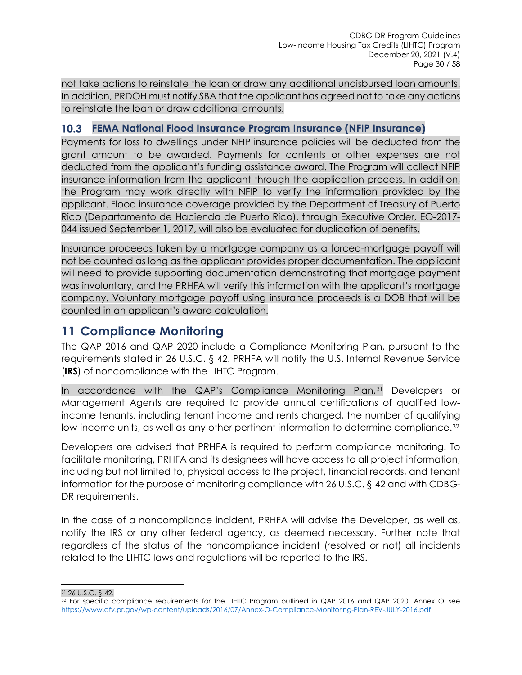not take actions to reinstate the loan or draw any additional undisbursed loan amounts. In addition, PRDOH must notify SBA that the applicant has agreed not to take any actions to reinstate the loan or draw additional amounts.

#### <span id="page-29-0"></span>**FEMA National Flood Insurance Program Insurance (NFIP Insurance)**

Payments for loss to dwellings under NFIP insurance policies will be deducted from the grant amount to be awarded. Payments for contents or other expenses are not deducted from the applicant's funding assistance award. The Program will collect NFIP insurance information from the applicant through the application process. In addition, the Program may work directly with NFIP to verify the information provided by the applicant. Flood insurance coverage provided by the Department of Treasury of Puerto Rico (Departamento de Hacienda de Puerto Rico), through Executive Order, EO-2017- 044 issued September 1, 2017, will also be evaluated for duplication of benefits.

Insurance proceeds taken by a mortgage company as a forced-mortgage payoff will not be counted as long as the applicant provides proper documentation. The applicant will need to provide supporting documentation demonstrating that mortgage payment was involuntary, and the PRHFA will verify this information with the applicant's mortgage company. Voluntary mortgage payoff using insurance proceeds is a DOB that will be counted in an applicant's award calculation.

# <span id="page-29-1"></span>**11 Compliance Monitoring**

The QAP 2016 and QAP 2020 include a Compliance Monitoring Plan, pursuant to the requirements stated in 26 U.S.C. § 42. PRHFA will notify the U.S. Internal Revenue Service (**IRS**) of noncompliance with the LIHTC Program.

In accordance with the QAP's Compliance Monitoring Plan,<sup>[31](#page-29-2)</sup> Developers or Management Agents are required to provide annual certifications of qualified lowincome tenants, including tenant income and rents charged, the number of qualifying low-income units, as well as any other pertinent information to determine compliance.<sup>[32](#page-29-3)</sup>

Developers are advised that PRHFA is required to perform compliance monitoring. To facilitate monitoring, PRHFA and its designees will have access to all project information, including but not limited to, physical access to the project, financial records, and tenant information for the purpose of monitoring compliance with 26 U.S.C. § 42 and with CDBG-DR requirements.

In the case of a noncompliance incident, PRHFA will advise the Developer, as well as, notify the IRS or any other federal agency, as deemed necessary. Further note that regardless of the status of the noncompliance incident (resolved or not) all incidents related to the LIHTC laws and regulations will be reported to the IRS.

 <sup>31</sup> 26 U.S.C. § 42.

<span id="page-29-3"></span><span id="page-29-2"></span><sup>32</sup> For specific compliance requirements for the LIHTC Program outlined in QAP 2016 and QAP 2020, Annex O, see <https://www.afv.pr.gov/wp-content/uploads/2016/07/Annex-O-Compliance-Monitoring-Plan-REV-JULY-2016.pdf>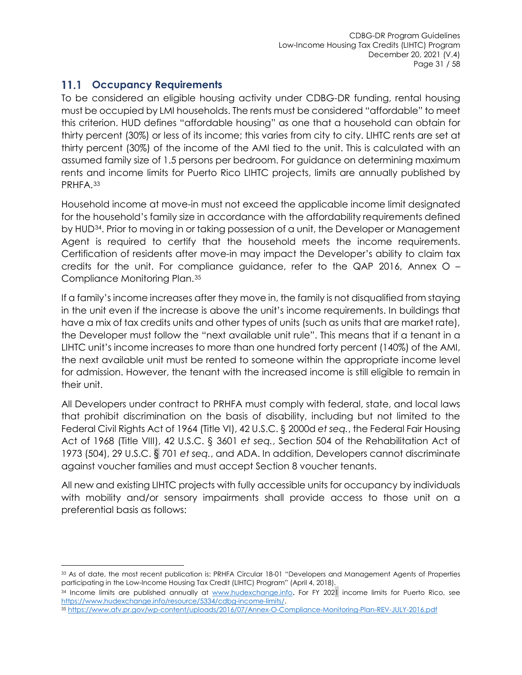### <span id="page-30-0"></span>**Occupancy Requirements**

To be considered an eligible housing activity under CDBG-DR funding, rental housing must be occupied by LMI households. The rents must be considered "affordable" to meet this criterion. HUD defines "affordable housing" as one that a household can obtain for thirty percent (30%) or less of its income; this varies from city to city. LIHTC rents are set at thirty percent (30%) of the income of the AMI tied to the unit. This is calculated with an assumed family size of 1.5 persons per bedroom. For guidance on determining maximum rents and income limits for Puerto Rico LIHTC projects, limits are annually published by PRHFA.[33](#page-30-1)

Household income at move-in must not exceed the applicable income limit designated for the household's family size in accordance with the affordability requirements defined by HU[D34](#page-30-2). Prior to moving in or taking possession of a unit, the Developer or Management Agent is required to certify that the household meets the income requirements. Certification of residents after move-in may impact the Developer's ability to claim tax credits for the unit. For compliance guidance, refer to the QAP 2016, Annex O – Compliance Monitoring Plan.[35](#page-30-3)

If a family's income increases after they move in, the family is not disqualified from staying in the unit even if the increase is above the unit's income requirements. In buildings that have a mix of tax credits units and other types of units (such as units that are market rate), the Developer must follow the "next available unit rule". This means that if a tenant in a LIHTC unit's income increases to more than one hundred forty percent (140%) of the AMI, the next available unit must be rented to someone within the appropriate income level for admission. However, the tenant with the increased income is still eligible to remain in their unit.

All Developers under contract to PRHFA must comply with federal, state, and local laws that prohibit discrimination on the basis of disability, including but not limited to the Federal Civil Rights Act of 1964 (Title VI), 42 U.S.C. § 2000d *et seq.*, the Federal Fair Housing Act of 1968 (Title VIII), 42 U.S.C. § 3601 *et seq.*, Section 504 of the Rehabilitation Act of 1973 (504), 29 U.S.C. § 701 *et seq.*, and ADA. In addition, Developers cannot discriminate against voucher families and must accept Section 8 voucher tenants.

All new and existing LIHTC projects with fully accessible units for occupancy by individuals with mobility and/or sensory impairments shall provide access to those unit on a preferential basis as follows:

<span id="page-30-3"></span><sup>35</sup> <https://www.afv.pr.gov/wp-content/uploads/2016/07/Annex-O-Compliance-Monitoring-Plan-REV-JULY-2016.pdf>

<span id="page-30-1"></span> <sup>33</sup> As of date, the most recent publication is: PRHFA Circular 18-01 "Developers and Management Agents of Properties participating in the Low-Income Housing Tax Credit (LIHTC) Program" (April 4, 2018).

<span id="page-30-2"></span><sup>34</sup> Income limits are published annually at [www.hudexchange.info.](http://www.hudexchange.info/) For FY 2021 income limits for Puerto Rico, see [https://www.hudexchange.info/resource/5334/cdbg-income-limits/.](https://www.hudexchange.info/resource/5334/cdbg-income-limits/)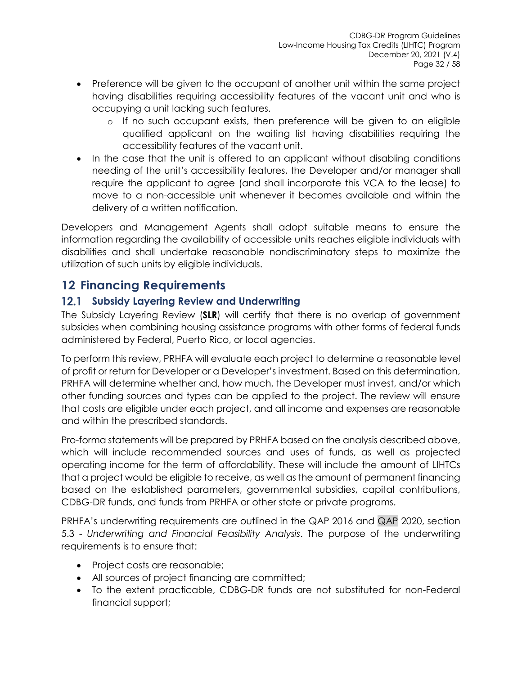- Preference will be given to the occupant of another unit within the same project having disabilities requiring accessibility features of the vacant unit and who is occupying a unit lacking such features.
	- o If no such occupant exists, then preference will be given to an eligible qualified applicant on the waiting list having disabilities requiring the accessibility features of the vacant unit.
- In the case that the unit is offered to an applicant without disabling conditions needing of the unit's accessibility features, the Developer and/or manager shall require the applicant to agree (and shall incorporate this VCA to the lease) to move to a non-accessible unit whenever it becomes available and within the delivery of a written notification.

Developers and Management Agents shall adopt suitable means to ensure the information regarding the availability of accessible units reaches eligible individuals with disabilities and shall undertake reasonable nondiscriminatory steps to maximize the utilization of such units by eligible individuals.

# <span id="page-31-0"></span>**12 Financing Requirements**

### <span id="page-31-1"></span>**Subsidy Layering Review and Underwriting**

The Subsidy Layering Review (**SLR**) will certify that there is no overlap of government subsides when combining housing assistance programs with other forms of federal funds administered by Federal, Puerto Rico, or local agencies.

To perform this review, PRHFA will evaluate each project to determine a reasonable level of profit or return for Developer or a Developer's investment. Based on this determination, PRHFA will determine whether and, how much, the Developer must invest, and/or which other funding sources and types can be applied to the project. The review will ensure that costs are eligible under each project, and all income and expenses are reasonable and within the prescribed standards.

Pro-forma statements will be prepared by PRHFA based on the analysis described above, which will include recommended sources and uses of funds, as well as projected operating income for the term of affordability. These will include the amount of LIHTCs that a project would be eligible to receive, as well as the amount of permanent financing based on the established parameters, governmental subsidies, capital contributions, CDBG-DR funds, and funds from PRHFA or other state or private programs.

PRHFA's underwriting requirements are outlined in the QAP 2016 and QAP 2020, section 5.3 - *Underwriting and Financial Feasibility Analysis*. The purpose of the underwriting requirements is to ensure that:

- Project costs are reasonable;
- All sources of project financing are committed;
- To the extent practicable, CDBG-DR funds are not substituted for non-Federal financial support;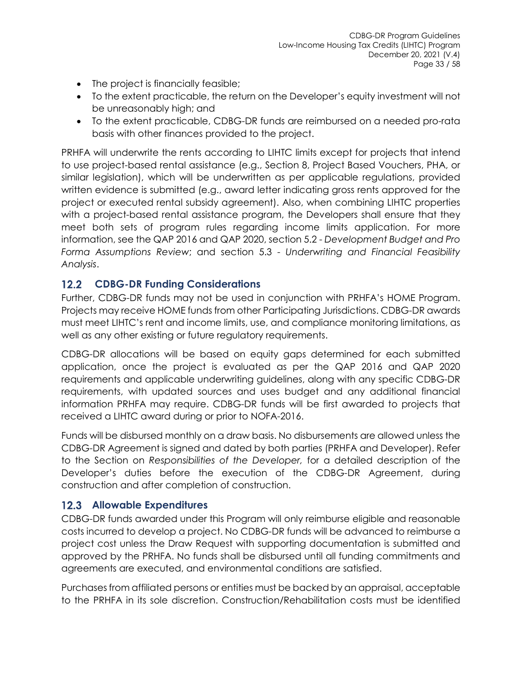- The project is financially feasible;
- To the extent practicable, the return on the Developer's equity investment will not be unreasonably high; and
- To the extent practicable, CDBG-DR funds are reimbursed on a needed pro-rata basis with other finances provided to the project.

PRHFA will underwrite the rents according to LIHTC limits except for projects that intend to use project-based rental assistance (e.g., Section 8, Project Based Vouchers, PHA, or similar legislation), which will be underwritten as per applicable regulations, provided written evidence is submitted (e.g., award letter indicating gross rents approved for the project or executed rental subsidy agreement). Also, when combining LIHTC properties with a project-based rental assistance program, the Developers shall ensure that they meet both sets of program rules regarding income limits application. For more information, see the QAP 2016 and QAP 2020, section 5.2 - *Development Budget and Pro Forma Assumptions Review*; and section 5.3 - *Underwriting and Financial Feasibility Analysis*.

### <span id="page-32-0"></span>**CDBG-DR Funding Considerations**

Further, CDBG-DR funds may not be used in conjunction with PRHFA's HOME Program. Projects may receive HOME funds from other Participating Jurisdictions. CDBG-DR awards must meet LIHTC's rent and income limits, use, and compliance monitoring limitations, as well as any other existing or future regulatory requirements.

CDBG-DR allocations will be based on equity gaps determined for each submitted application, once the project is evaluated as per the QAP 2016 and QAP 2020 requirements and applicable underwriting guidelines, along with any specific CDBG-DR requirements, with updated sources and uses budget and any additional financial information PRHFA may require. CDBG-DR funds will be first awarded to projects that received a LIHTC award during or prior to NOFA-2016.

Funds will be disbursed monthly on a draw basis. No disbursements are allowed unless the CDBG-DR Agreement is signed and dated by both parties (PRHFA and Developer). Refer to the Section on *Responsibilities of the Developer,* for a detailed description of the Developer's duties before the execution of the CDBG-DR Agreement, during construction and after completion of construction.

### <span id="page-32-1"></span>**Allowable Expenditures**

CDBG-DR funds awarded under this Program will only reimburse eligible and reasonable costs incurred to develop a project. No CDBG-DR funds will be advanced to reimburse a project cost unless the Draw Request with supporting documentation is submitted and approved by the PRHFA. No funds shall be disbursed until all funding commitments and agreements are executed, and environmental conditions are satisfied.

Purchases from affiliated persons or entities must be backed by an appraisal, acceptable to the PRHFA in its sole discretion. Construction/Rehabilitation costs must be identified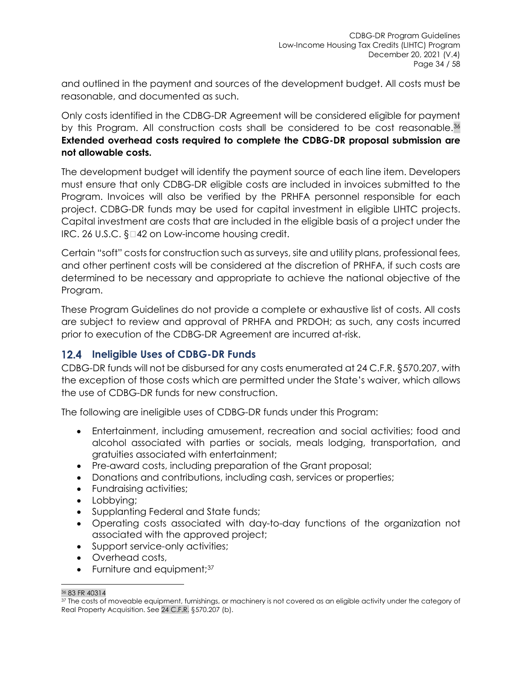and outlined in the payment and sources of the development budget. All costs must be reasonable, and documented as such.

Only costs identified in the CDBG-DR Agreement will be considered eligible for payment by this Program. All construction costs shall be considered to be cost reasonable.[36](#page-33-1) **Extended overhead costs required to complete the CDBG-DR proposal submission are not allowable costs.**

The development budget will identify the payment source of each line item. Developers must ensure that only CDBG-DR eligible costs are included in invoices submitted to the Program. Invoices will also be verified by the PRHFA personnel responsible for each project. CDBG-DR funds may be used for capital investment in eligible LIHTC projects. Capital investment are costs that are included in the eligible basis of a project under the IRC. 26 U.S.C. § 42 on Low-income housing credit.

Certain "soft" costs for construction such as surveys, site and utility plans, professional fees, and other pertinent costs will be considered at the discretion of PRHFA, if such costs are determined to be necessary and appropriate to achieve the national objective of the Program.

These Program Guidelines do not provide a complete or exhaustive list of costs. All costs are subject to review and approval of PRHFA and PRDOH; as such, any costs incurred prior to execution of the CDBG-DR Agreement are incurred at-risk.

### <span id="page-33-0"></span>12.4 Ineligible Uses of CDBG-DR Funds

CDBG-DR funds will not be disbursed for any costs enumerated at 24 C.F.R. §570.207, with the exception of those costs which are permitted under the State's waiver, which allows the use of CDBG-DR funds for new construction.

The following are ineligible uses of CDBG-DR funds under this Program:

- Entertainment, including amusement, recreation and social activities; food and alcohol associated with parties or socials, meals lodging, transportation, and gratuities associated with entertainment;
- Pre-award costs, including preparation of the Grant proposal;
- Donations and contributions, including cash, services or properties;
- Fundraising activities;
- Lobbying;
- Supplanting Federal and State funds;
- Operating costs associated with day-to-day functions of the organization not associated with the approved project;
- Support service-only activities;
- Overhead costs,
- Furniture and equipment;<sup>37</sup>

<span id="page-33-1"></span> <sup>36</sup> 83 FR 40314

<span id="page-33-2"></span><sup>37</sup> The costs of moveable equipment, furnishings, or machinery is not covered as an eligible activity under the category of Real Property Acquisition. See 24 C.F.R. §570.207 (b).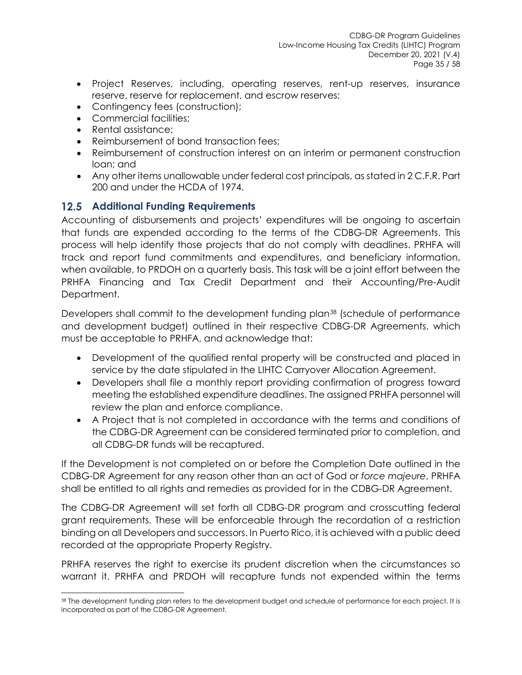- Project Reserves, including, operating reserves, rent-up reserves, insurance reserve, reserve for replacement, and escrow reserves;
- Contingency fees (construction);
- Commercial facilities:
- Rental assistance:
- Reimbursement of bond transaction fees;
- Reimbursement of construction interest on an interim or permanent construction loan; and
- Any other items unallowable under federal cost principals, as stated in 2 C.F.R. Part 200 and under the HCDA of 1974.

#### <span id="page-34-0"></span>**Additional Funding Requirements**

Accounting of disbursements and projects' expenditures will be ongoing to ascertain that funds are expended according to the terms of the CDBG-DR Agreements. This process will help identify those projects that do not comply with deadlines. PRHFA will track and report fund commitments and expenditures, and beneficiary information, when available, to PRDOH on a quarterly basis. This task will be a joint effort between the PRHFA Financing and Tax Credit Department and their Accounting/Pre-Audit Department.

Developers shall commit to the development funding plan<sup>[38](#page-34-1)</sup> (schedule of performance and development budget) outlined in their respective CDBG-DR Agreements, which must be acceptable to PRHFA, and acknowledge that:

- Development of the qualified rental property will be constructed and placed in service by the date stipulated in the LIHTC Carryover Allocation Agreement.
- Developers shall file a monthly report providing confirmation of progress toward meeting the established expenditure deadlines. The assigned PRHFA personnel will review the plan and enforce compliance.
- A Project that is not completed in accordance with the terms and conditions of the CDBG-DR Agreement can be considered terminated prior to completion, and all CDBG-DR funds will be recaptured.

If the Development is not completed on or before the Completion Date outlined in the CDBG-DR Agreement for any reason other than an act of God or *force majeure*, PRHFA shall be entitled to all rights and remedies as provided for in the CDBG-DR Agreement.

The CDBG-DR Agreement will set forth all CDBG-DR program and crosscutting federal grant requirements. These will be enforceable through the recordation of a restriction binding on all Developers and successors. In Puerto Rico, it is achieved with a public deed recorded at the appropriate Property Registry.

PRHFA reserves the right to exercise its prudent discretion when the circumstances so warrant it. PRHFA and PRDOH will recapture funds not expended within the terms

<span id="page-34-1"></span><sup>38</sup> The development funding plan refers to the development budget and schedule of performance for each project. It is incorporated as part of the CDBG-DR Agreement.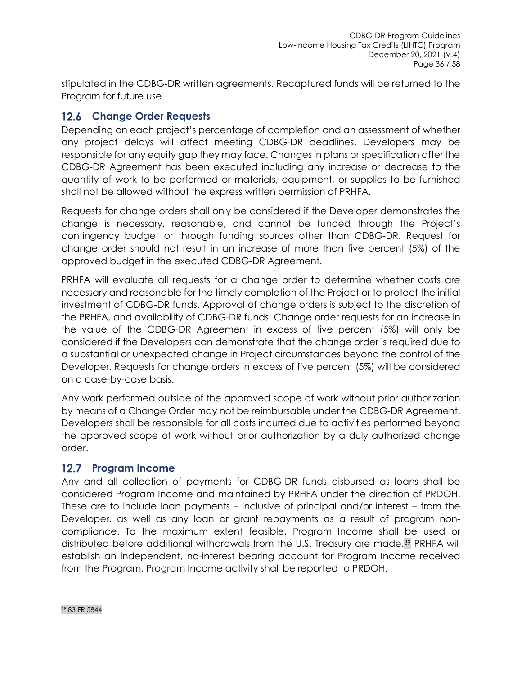stipulated in the CDBG-DR written agreements. Recaptured funds will be returned to the Program for future use.

### <span id="page-35-0"></span>**Change Order Requests**

Depending on each project's percentage of completion and an assessment of whether any project delays will affect meeting CDBG-DR deadlines, Developers may be responsible for any equity gap they may face. Changes in plans or specification after the CDBG-DR Agreement has been executed including any increase or decrease to the quantity of work to be performed or materials, equipment, or supplies to be furnished shall not be allowed without the express written permission of PRHFA.

Requests for change orders shall only be considered if the Developer demonstrates the change is necessary, reasonable, and cannot be funded through the Project's contingency budget or through funding sources other than CDBG-DR. Request for change order should not result in an increase of more than five percent (5%) of the approved budget in the executed CDBG-DR Agreement.

PRHFA will evaluate all requests for a change order to determine whether costs are necessary and reasonable for the timely completion of the Project or to protect the initial investment of CDBG-DR funds. Approval of change orders is subject to the discretion of the PRHFA, and availability of CDBG-DR funds. Change order requests for an increase in the value of the CDBG-DR Agreement in excess of five percent (5%) will only be considered if the Developers can demonstrate that the change order is required due to a substantial or unexpected change in Project circumstances beyond the control of the Developer. Requests for change orders in excess of five percent (5%) will be considered on a case-by-case basis.

Any work performed outside of the approved scope of work without prior authorization by means of a Change Order may not be reimbursable under the CDBG-DR Agreement. Developers shall be responsible for all costs incurred due to activities performed beyond the approved scope of work without prior authorization by a duly authorized change order.

### <span id="page-35-1"></span>12.7 Program Income

<span id="page-35-2"></span>Any and all collection of payments for CDBG-DR funds disbursed as loans shall be considered Program Income and maintained by PRHFA under the direction of PRDOH. These are to include loan payments – inclusive of principal and/or interest – from the Developer, as well as any loan or grant repayments as a result of program noncompliance. To the maximum extent feasible, Program Income shall be used or distributed before additional withdrawals from the U.S. Treasury are made[.39](#page-35-2) PRHFA will establish an independent, no-interest bearing account for Program Income received from the Program. Program Income activity shall be reported to PRDOH.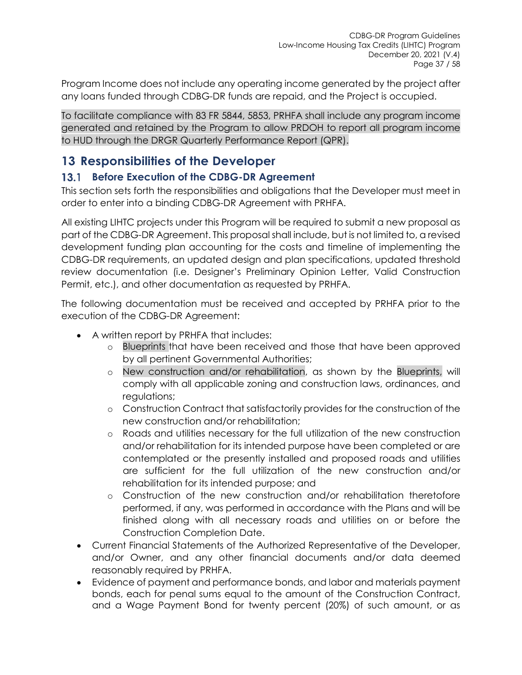Program Income does not include any operating income generated by the project after any loans funded through CDBG-DR funds are repaid, and the Project is occupied.

To facilitate compliance with 83 FR 5844, 5853, PRHFA shall include any program income generated and retained by the Program to allow PRDOH to report all program income to HUD through the DRGR Quarterly Performance Report (QPR).

# <span id="page-36-0"></span>**13 Responsibilities of the Developer**

### <span id="page-36-1"></span>**Before Execution of the CDBG-DR Agreement**

This section sets forth the responsibilities and obligations that the Developer must meet in order to enter into a binding CDBG-DR Agreement with PRHFA.

All existing LIHTC projects under this Program will be required to submit a new proposal as part of the CDBG-DR Agreement. This proposal shall include, but is not limited to, a revised development funding plan accounting for the costs and timeline of implementing the CDBG-DR requirements, an updated design and plan specifications, updated threshold review documentation (i.e. Designer's Preliminary Opinion Letter, Valid Construction Permit, etc.), and other documentation as requested by PRHFA.

The following documentation must be received and accepted by PRHFA prior to the execution of the CDBG-DR Agreement:

- A written report by PRHFA that includes:
	- o Blueprints that have been received and those that have been approved by all pertinent Governmental Authorities;
	- o New construction and/or rehabilitation, as shown by the Blueprints, will comply with all applicable zoning and construction laws, ordinances, and regulations;
	- o Construction Contract that satisfactorily provides for the construction of the new construction and/or rehabilitation;
	- o Roads and utilities necessary for the full utilization of the new construction and/or rehabilitation for its intended purpose have been completed or are contemplated or the presently installed and proposed roads and utilities are sufficient for the full utilization of the new construction and/or rehabilitation for its intended purpose; and
	- o Construction of the new construction and/or rehabilitation theretofore performed, if any, was performed in accordance with the Plans and will be finished along with all necessary roads and utilities on or before the Construction Completion Date.
- Current Financial Statements of the Authorized Representative of the Developer, and/or Owner, and any other financial documents and/or data deemed reasonably required by PRHFA.
- Evidence of payment and performance bonds, and labor and materials payment bonds, each for penal sums equal to the amount of the Construction Contract, and a Wage Payment Bond for twenty percent (20%) of such amount, or as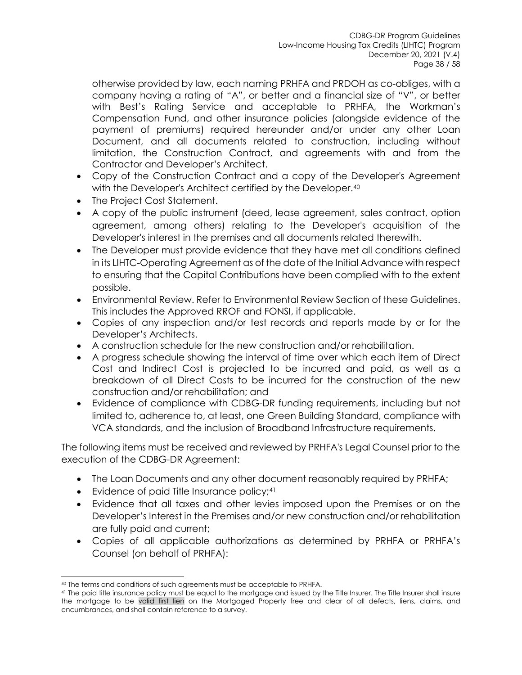otherwise provided by law, each naming PRHFA and PRDOH as co-obliges, with a company having a rating of "A", or better and a financial size of "V", or better with Best's Rating Service and acceptable to PRHFA, the Workman's Compensation Fund, and other insurance policies (alongside evidence of the payment of premiums) required hereunder and/or under any other Loan Document, and all documents related to construction, including without limitation, the Construction Contract, and agreements with and from the Contractor and Developer's Architect.

- Copy of the Construction Contract and a copy of the Developer's Agreement with the Developer's Architect certified by the Developer.<sup>[40](#page-37-0)</sup>
- The Project Cost Statement.
- A copy of the public instrument (deed, lease agreement, sales contract, option agreement, among others) relating to the Developer's acquisition of the Developer's interest in the premises and all documents related therewith.
- The Developer must provide evidence that they have met all conditions defined in its LIHTC-Operating Agreement as of the date of the Initial Advance with respect to ensuring that the Capital Contributions have been complied with to the extent possible.
- Environmental Review. Refer to Environmental Review Section of these Guidelines. This includes the Approved RROF and FONSI, if applicable.
- Copies of any inspection and/or test records and reports made by or for the Developer's Architects.
- A construction schedule for the new construction and/or rehabilitation.
- A progress schedule showing the interval of time over which each item of Direct Cost and Indirect Cost is projected to be incurred and paid, as well as a breakdown of all Direct Costs to be incurred for the construction of the new construction and/or rehabilitation; and
- Evidence of compliance with CDBG-DR funding requirements, including but not limited to, adherence to, at least, one Green Building Standard, compliance with VCA standards, and the inclusion of Broadband Infrastructure requirements.

The following items must be received and reviewed by PRHFA's Legal Counsel prior to the execution of the CDBG-DR Agreement:

- The Loan Documents and any other document reasonably required by PRHFA;
- Evidence of paid Title Insurance policy;<sup>[41](#page-37-1)</sup>
- Evidence that all taxes and other levies imposed upon the Premises or on the Developer's Interest in the Premises and/or new construction and/or rehabilitation are fully paid and current;
- Copies of all applicable authorizations as determined by PRHFA or PRHFA's Counsel (on behalf of PRHFA):

<span id="page-37-1"></span><span id="page-37-0"></span><sup>40</sup> The terms and conditions of such agreements must be acceptable to PRHFA.<br>41 The paid title insurance policy must be equal to the mortgage and issued by the Title Insurer. The Title Insurer shall insure the mortgage to be valid first lien on the Mortgaged Property free and clear of all defects, liens, claims, and encumbrances, and shall contain reference to a survey.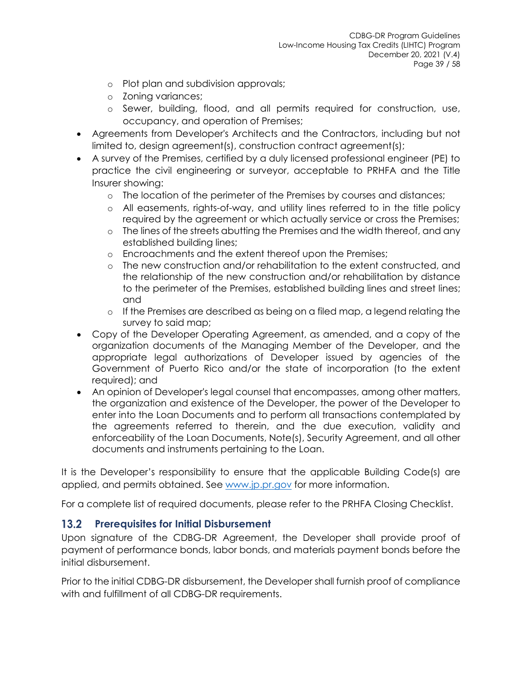- o Plot plan and subdivision approvals;
- o Zoning variances;
- o Sewer, building, flood, and all permits required for construction, use, occupancy, and operation of Premises;
- Agreements from Developer's Architects and the Contractors, including but not limited to, design agreement(s), construction contract agreement(s);
- A survey of the Premises, certified by a duly licensed professional engineer (PE) to practice the civil engineering or surveyor, acceptable to PRHFA and the Title Insurer showing:
	- o The location of the perimeter of the Premises by courses and distances;
	- o All easements, rights-of-way, and utility lines referred to in the title policy required by the agreement or which actually service or cross the Premises;
	- o The lines of the streets abutting the Premises and the width thereof, and any established building lines;
	- o Encroachments and the extent thereof upon the Premises;
	- o The new construction and/or rehabilitation to the extent constructed, and the relationship of the new construction and/or rehabilitation by distance to the perimeter of the Premises, established building lines and street lines; and
	- o If the Premises are described as being on a filed map, a legend relating the survey to said map;
- Copy of the Developer Operating Agreement, as amended, and a copy of the organization documents of the Managing Member of the Developer, and the appropriate legal authorizations of Developer issued by agencies of the Government of Puerto Rico and/or the state of incorporation (to the extent required); and
- An opinion of Developer's legal counsel that encompasses, among other matters, the organization and existence of the Developer, the power of the Developer to enter into the Loan Documents and to perform all transactions contemplated by the agreements referred to therein, and the due execution, validity and enforceability of the Loan Documents, Note(s), Security Agreement, and all other documents and instruments pertaining to the Loan.

It is the Developer's responsibility to ensure that the applicable Building Code(s) are applied, and permits obtained. See [www.jp.pr.gov](http://www.jp.pr.gov/) for more information.

For a complete list of required documents, please refer to the PRHFA Closing Checklist.

### <span id="page-38-0"></span>**Prerequisites for Initial Disbursement**

Upon signature of the CDBG-DR Agreement, the Developer shall provide proof of payment of performance bonds, labor bonds, and materials payment bonds before the initial disbursement.

Prior to the initial CDBG-DR disbursement, the Developer shall furnish proof of compliance with and fulfillment of all CDBG-DR requirements.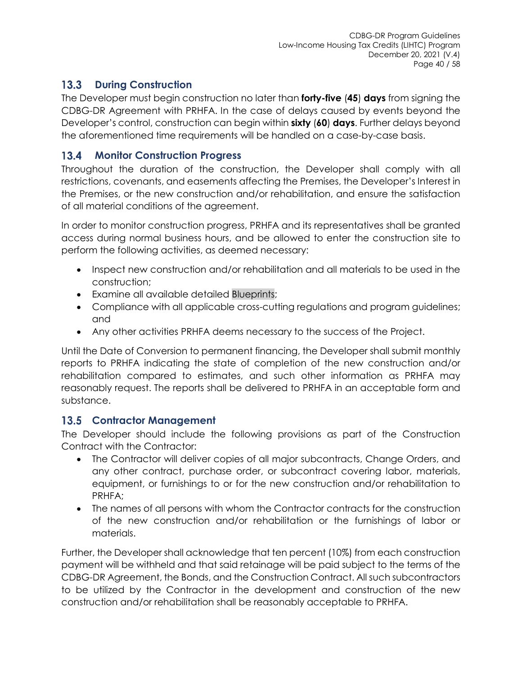#### <span id="page-39-0"></span>**During Construction**  $13.3$

The Developer must begin construction no later than **forty-five** (**45**) **days** from signing the CDBG-DR Agreement with PRHFA. In the case of delays caused by events beyond the Developer's control, construction can begin within **sixty** (**60**) **days**. Further delays beyond the aforementioned time requirements will be handled on a case-by-case basis.

#### <span id="page-39-1"></span>13.4 **Monitor Construction Progress**

Throughout the duration of the construction, the Developer shall comply with all restrictions, covenants, and easements affecting the Premises, the Developer's Interest in the Premises, or the new construction and/or rehabilitation, and ensure the satisfaction of all material conditions of the agreement.

In order to monitor construction progress, PRHFA and its representatives shall be granted access during normal business hours, and be allowed to enter the construction site to perform the following activities, as deemed necessary:

- Inspect new construction and/or rehabilitation and all materials to be used in the construction;
- Examine all available detailed Blueprints;
- Compliance with all applicable cross-cutting regulations and program guidelines; and
- Any other activities PRHFA deems necessary to the success of the Project.

Until the Date of Conversion to permanent financing, the Developer shall submit monthly reports to PRHFA indicating the state of completion of the new construction and/or rehabilitation compared to estimates, and such other information as PRHFA may reasonably request. The reports shall be delivered to PRHFA in an acceptable form and substance.

### <span id="page-39-2"></span>**Contractor Management**

The Developer should include the following provisions as part of the Construction Contract with the Contractor:

- The Contractor will deliver copies of all major subcontracts, Change Orders, and any other contract, purchase order, or subcontract covering labor, materials, equipment, or furnishings to or for the new construction and/or rehabilitation to PRHFA;
- The names of all persons with whom the Contractor contracts for the construction of the new construction and/or rehabilitation or the furnishings of labor or materials.

Further, the Developer shall acknowledge that ten percent (10%) from each construction payment will be withheld and that said retainage will be paid subject to the terms of the CDBG-DR Agreement, the Bonds, and the Construction Contract. All such subcontractors to be utilized by the Contractor in the development and construction of the new construction and/or rehabilitation shall be reasonably acceptable to PRHFA.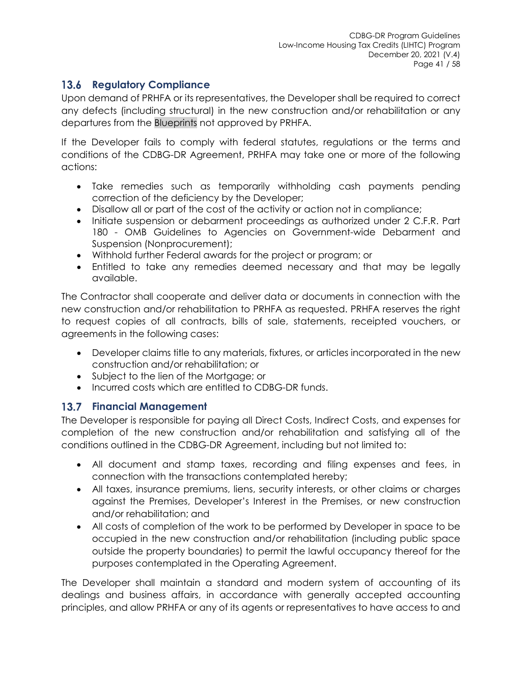### <span id="page-40-0"></span>**13.6 Regulatory Compliance**

Upon demand of PRHFA or its representatives, the Developer shall be required to correct any defects (including structural) in the new construction and/or rehabilitation or any departures from the Blueprints not approved by PRHFA.

If the Developer fails to comply with federal statutes, regulations or the terms and conditions of the CDBG-DR Agreement, PRHFA may take one or more of the following actions:

- Take remedies such as temporarily withholding cash payments pending correction of the deficiency by the Developer;
- Disallow all or part of the cost of the activity or action not in compliance;
- Initiate suspension or debarment proceedings as authorized under 2 C.F.R. Part 180 - OMB Guidelines to Agencies on Government-wide Debarment and Suspension (Nonprocurement);
- Withhold further Federal awards for the project or program; or
- Entitled to take any remedies deemed necessary and that may be legally available.

The Contractor shall cooperate and deliver data or documents in connection with the new construction and/or rehabilitation to PRHFA as requested. PRHFA reserves the right to request copies of all contracts, bills of sale, statements, receipted vouchers, or agreements in the following cases:

- Developer claims title to any materials, fixtures, or articles incorporated in the new construction and/or rehabilitation; or
- Subject to the lien of the Mortgage; or
- Incurred costs which are entitled to CDBG-DR funds.

#### <span id="page-40-1"></span>**Financial Management**

The Developer is responsible for paying all Direct Costs, Indirect Costs, and expenses for completion of the new construction and/or rehabilitation and satisfying all of the conditions outlined in the CDBG-DR Agreement, including but not limited to:

- All document and stamp taxes, recording and filing expenses and fees, in connection with the transactions contemplated hereby;
- All taxes, insurance premiums, liens, security interests, or other claims or charges against the Premises, Developer's Interest in the Premises, or new construction and/or rehabilitation; and
- All costs of completion of the work to be performed by Developer in space to be occupied in the new construction and/or rehabilitation (including public space outside the property boundaries) to permit the lawful occupancy thereof for the purposes contemplated in the Operating Agreement.

The Developer shall maintain a standard and modern system of accounting of its dealings and business affairs, in accordance with generally accepted accounting principles, and allow PRHFA or any of its agents or representatives to have access to and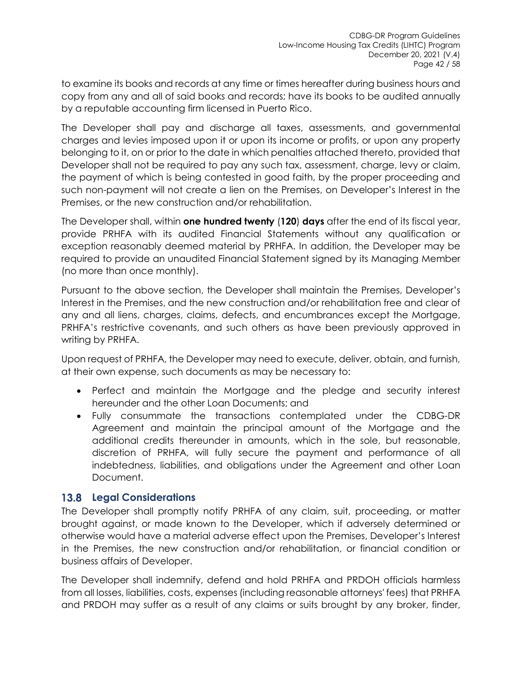to examine its books and records at any time or times hereafter during business hours and copy from any and all of said books and records; have its books to be audited annually by a reputable accounting firm licensed in Puerto Rico.

The Developer shall pay and discharge all taxes, assessments, and governmental charges and levies imposed upon it or upon its income or profits, or upon any property belonging to it, on or prior to the date in which penalties attached thereto, provided that Developer shall not be required to pay any such tax, assessment, charge, levy or claim, the payment of which is being contested in good faith, by the proper proceeding and such non-payment will not create a lien on the Premises, on Developer's Interest in the Premises, or the new construction and/or rehabilitation.

The Developer shall, within **one hundred twenty** (**120**) **days** after the end of its fiscal year, provide PRHFA with its audited Financial Statements without any qualification or exception reasonably deemed material by PRHFA. In addition, the Developer may be required to provide an unaudited Financial Statement signed by its Managing Member (no more than once monthly).

Pursuant to the above section, the Developer shall maintain the Premises, Developer's Interest in the Premises, and the new construction and/or rehabilitation free and clear of any and all liens, charges, claims, defects, and encumbrances except the Mortgage, PRHFA's restrictive covenants, and such others as have been previously approved in writing by PRHFA.

Upon request of PRHFA, the Developer may need to execute, deliver, obtain, and furnish, at their own expense, such documents as may be necessary to:

- Perfect and maintain the Mortgage and the pledge and security interest hereunder and the other Loan Documents; and
- Fully consummate the transactions contemplated under the CDBG-DR Agreement and maintain the principal amount of the Mortgage and the additional credits thereunder in amounts, which in the sole, but reasonable, discretion of PRHFA, will fully secure the payment and performance of all indebtedness, liabilities, and obligations under the Agreement and other Loan Document.

### <span id="page-41-0"></span>**Legal Considerations**

The Developer shall promptly notify PRHFA of any claim, suit, proceeding, or matter brought against, or made known to the Developer, which if adversely determined or otherwise would have a material adverse effect upon the Premises, Developer's Interest in the Premises, the new construction and/or rehabilitation, or financial condition or business affairs of Developer.

The Developer shall indemnify, defend and hold PRHFA and PRDOH officials harmless from all losses, liabilities, costs, expenses (including reasonable attorneys' fees) that PRHFA and PRDOH may suffer as a result of any claims or suits brought by any broker, finder,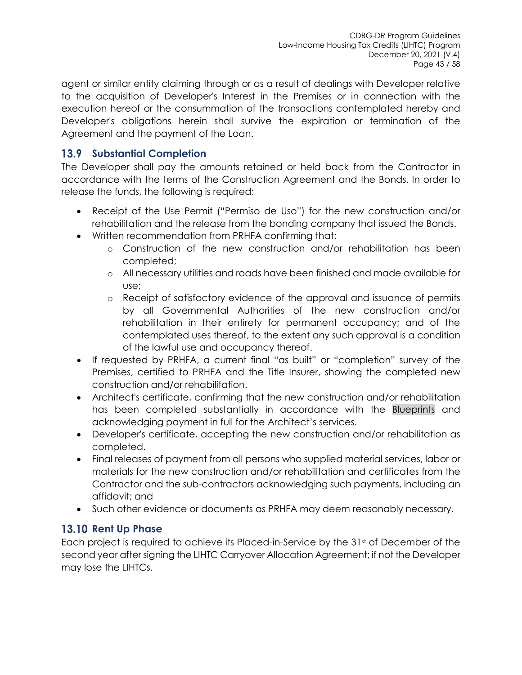agent or similar entity claiming through or as a result of dealings with Developer relative to the acquisition of Developer's Interest in the Premises or in connection with the execution hereof or the consummation of the transactions contemplated hereby and Developer's obligations herein shall survive the expiration or termination of the Agreement and the payment of the Loan.

### <span id="page-42-0"></span>**13.9 Substantial Completion**

The Developer shall pay the amounts retained or held back from the Contractor in accordance with the terms of the Construction Agreement and the Bonds. In order to release the funds, the following is required:

- Receipt of the Use Permit ("Permiso de Uso") for the new construction and/or rehabilitation and the release from the bonding company that issued the Bonds.
- Written recommendation from PRHFA confirming that:
	- o Construction of the new construction and/or rehabilitation has been completed;
	- o All necessary utilities and roads have been finished and made available for use;
	- o Receipt of satisfactory evidence of the approval and issuance of permits by all Governmental Authorities of the new construction and/or rehabilitation in their entirety for permanent occupancy; and of the contemplated uses thereof, to the extent any such approval is a condition of the lawful use and occupancy thereof.
- If requested by PRHFA, a current final "as built" or "completion" survey of the Premises, certified to PRHFA and the Title Insurer, showing the completed new construction and/or rehabilitation.
- Architect's certificate, confirming that the new construction and/or rehabilitation has been completed substantially in accordance with the Blueprints and acknowledging payment in full for the Architect's services.
- Developer's certificate, accepting the new construction and/or rehabilitation as completed.
- Final releases of payment from all persons who supplied material services, labor or materials for the new construction and/or rehabilitation and certificates from the Contractor and the sub-contractors acknowledging such payments, including an affidavit; and
- Such other evidence or documents as PRHFA may deem reasonably necessary.

### <span id="page-42-1"></span>**13.10 Rent Up Phase**

Each project is required to achieve its Placed-in-Service by the 31st of December of the second year after signing the LIHTC Carryover Allocation Agreement; if not the Developer may lose the LIHTCs.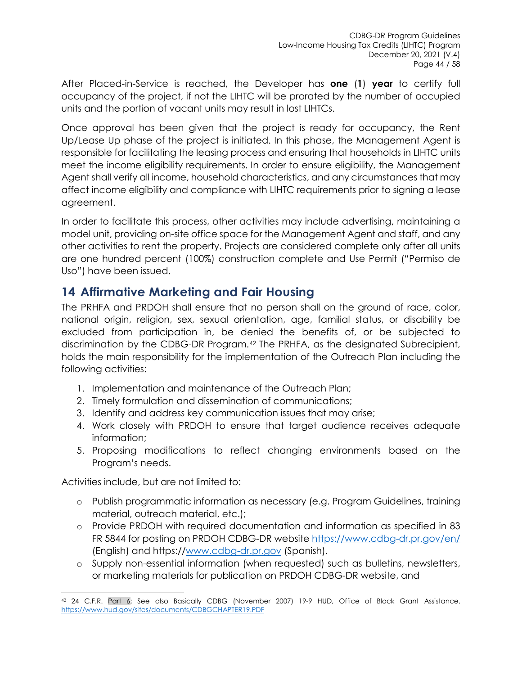After Placed-in-Service is reached, the Developer has **one** (**1**) **year** to certify full occupancy of the project, if not the LIHTC will be prorated by the number of occupied units and the portion of vacant units may result in lost LIHTCs.

Once approval has been given that the project is ready for occupancy, the Rent Up/Lease Up phase of the project is initiated. In this phase, the Management Agent is responsible for facilitating the leasing process and ensuring that households in LIHTC units meet the income eligibility requirements. In order to ensure eligibility, the Management Agent shall verify all income, household characteristics, and any circumstances that may affect income eligibility and compliance with LIHTC requirements prior to signing a lease agreement.

In order to facilitate this process, other activities may include advertising, maintaining a model unit, providing on-site office space for the Management Agent and staff, and any other activities to rent the property. Projects are considered complete only after all units are one hundred percent (100%) construction complete and Use Permit ("Permiso de Uso") have been issued.

# <span id="page-43-0"></span>**14 Affirmative Marketing and Fair Housing**

The PRHFA and PRDOH shall ensure that no person shall on the ground of race, color, national origin, religion, sex, sexual orientation, age, familial status, or disability be excluded from participation in, be denied the benefits of, or be subjected to discrimination by the CDBG-DR Program.[42](#page-43-1) The PRHFA, as the designated Subrecipient, holds the main responsibility for the implementation of the Outreach Plan including the following activities:

- 1. Implementation and maintenance of the Outreach Plan;
- 2. Timely formulation and dissemination of communications;
- 3. Identify and address key communication issues that may arise;
- 4. Work closely with PRDOH to ensure that target audience receives adequate information;
- 5. Proposing modifications to reflect changing environments based on the Program's needs.

Activities include, but are not limited to:

- o Publish programmatic information as necessary (e.g. Program Guidelines, training material, outreach material, etc.);
- o Provide PRDOH with required documentation and information as specified in 83 FR 5844 for posting on PRDOH CDBG-DR website<https://www.cdbg-dr.pr.gov/en/> (English) and https:/[/www.cdbg-dr.pr.gov](http://www.cdbg-dr.pr.gov/) (Spanish).
- o Supply non-essential information (when requested) such as bulletins, newsletters, or marketing materials for publication on PRDOH CDBG-DR website, and

<span id="page-43-1"></span> <sup>42</sup> 24 C.F.R. Part 6; See also Basically CDBG (November 2007) 19-9 HUD, Office of Block Grant Assistance. <https://www.hud.gov/sites/documents/CDBGCHAPTER19.PDF>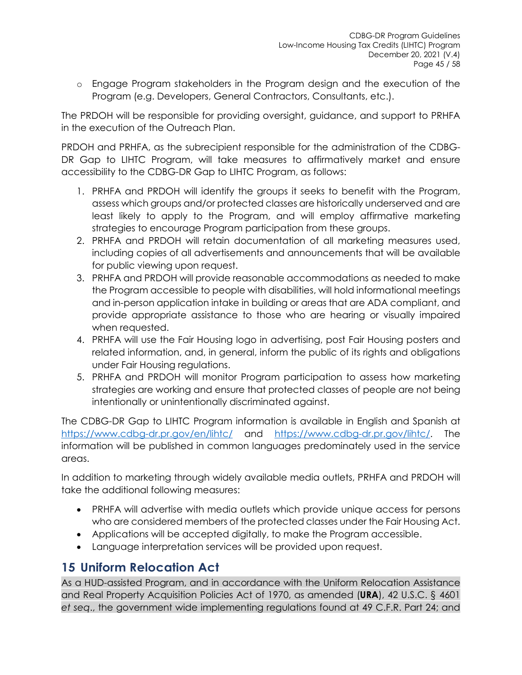o Engage Program stakeholders in the Program design and the execution of the Program (e.g. Developers, General Contractors, Consultants, etc.).

The PRDOH will be responsible for providing oversight, guidance, and support to PRHFA in the execution of the Outreach Plan.

PRDOH and PRHFA, as the subrecipient responsible for the administration of the CDBG-DR Gap to LIHTC Program, will take measures to affirmatively market and ensure accessibility to the CDBG-DR Gap to LIHTC Program, as follows:

- 1. PRHFA and PRDOH will identify the groups it seeks to benefit with the Program, assess which groups and/or protected classes are historically underserved and are least likely to apply to the Program, and will employ affirmative marketing strategies to encourage Program participation from these groups.
- 2. PRHFA and PRDOH will retain documentation of all marketing measures used, including copies of all advertisements and announcements that will be available for public viewing upon request.
- 3. PRHFA and PRDOH will provide reasonable accommodations as needed to make the Program accessible to people with disabilities, will hold informational meetings and in-person application intake in building or areas that are ADA compliant, and provide appropriate assistance to those who are hearing or visually impaired when requested.
- 4. PRHFA will use the Fair Housing logo in advertising, post Fair Housing posters and related information, and, in general, inform the public of its rights and obligations under Fair Housing regulations.
- 5. PRHFA and PRDOH will monitor Program participation to assess how marketing strategies are working and ensure that protected classes of people are not being intentionally or unintentionally discriminated against.

The CDBG-DR Gap to LIHTC Program information is available in English and Spanish at <https://www.cdbg-dr.pr.gov/en/lihtc/> and [https://www.cdbg-dr.pr.gov/lihtc/.](https://www.cdbg-dr.pr.gov/lihtc/) The information will be published in common languages predominately used in the service areas.

In addition to marketing through widely available media outlets, PRHFA and PRDOH will take the additional following measures:

- PRHFA will advertise with media outlets which provide unique access for persons who are considered members of the protected classes under the Fair Housing Act.
- Applications will be accepted digitally, to make the Program accessible.
- Language interpretation services will be provided upon request.

# <span id="page-44-0"></span>**15 Uniform Relocation Act**

As a HUD-assisted Program, and in accordance with the Uniform Relocation Assistance and Real Property Acquisition Policies Act of 1970, as amended (**URA**), 42 U.S.C. § 4601 *et seq*., the government wide implementing regulations found at 49 C.F.R. Part 24; and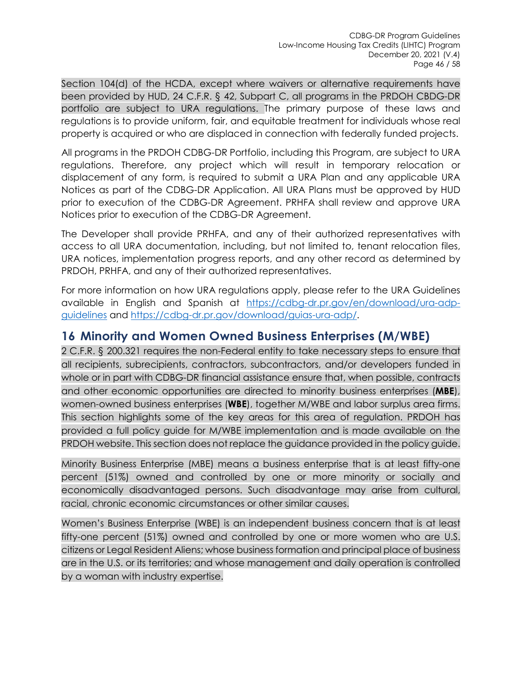Section 104(d) of the HCDA, except where waivers or alternative requirements have been provided by HUD, 24 C.F.R. § 42, Subpart C, all programs in the PRDOH CBDG-DR portfolio are subject to URA regulations. The primary purpose of these laws and regulations is to provide uniform, fair, and equitable treatment for individuals whose real property is acquired or who are displaced in connection with federally funded projects.

All programs in the PRDOH CDBG-DR Portfolio, including this Program, are subject to URA regulations. Therefore, any project which will result in temporary relocation or displacement of any form, is required to submit a URA Plan and any applicable URA Notices as part of the CDBG-DR Application. All URA Plans must be approved by HUD prior to execution of the CDBG-DR Agreement. PRHFA shall review and approve URA Notices prior to execution of the CDBG-DR Agreement.

The Developer shall provide PRHFA, and any of their authorized representatives with access to all URA documentation, including, but not limited to, tenant relocation files, URA notices, implementation progress reports, and any other record as determined by PRDOH, PRHFA, and any of their authorized representatives.

For more information on how URA regulations apply, please refer to the URA Guidelines available in English and Spanish at [https://cdbg-dr.pr.gov/en/download/ura-adp](https://cdbg-dr.pr.gov/en/download/ura-adp-guidelines)[guidelines](https://cdbg-dr.pr.gov/en/download/ura-adp-guidelines) and [https://cdbg-dr.pr.gov/download/guias-ura-adp/.](https://cdbg-dr.pr.gov/download/guias-ura-adp/)

# <span id="page-45-0"></span>**16 Minority and Women Owned Business Enterprises (M/WBE)**

2 C.F.R. § 200.321 requires the non-Federal entity to take necessary steps to ensure that all recipients, subrecipients, contractors, subcontractors, and/or developers funded in whole or in part with CDBG-DR financial assistance ensure that, when possible, contracts and other economic opportunities are directed to minority business enterprises (**MBE**), women-owned business enterprises (**WBE**), together M/WBE and labor surplus area firms. This section highlights some of the key areas for this area of regulation. PRDOH has provided a full policy guide for M/WBE implementation and is made available on the PRDOH website. This section does not replace the guidance provided in the policy guide.

Minority Business Enterprise (MBE) means a business enterprise that is at least fifty-one percent (51%) owned and controlled by one or more minority or socially and economically disadvantaged persons. Such disadvantage may arise from cultural, racial, chronic economic circumstances or other similar causes.

Women's Business Enterprise (WBE) is an independent business concern that is at least fifty-one percent (51%) owned and controlled by one or more women who are U.S. citizens or Legal Resident Aliens; whose business formation and principal place of business are in the U.S. or its territories; and whose management and daily operation is controlled by a woman with industry expertise.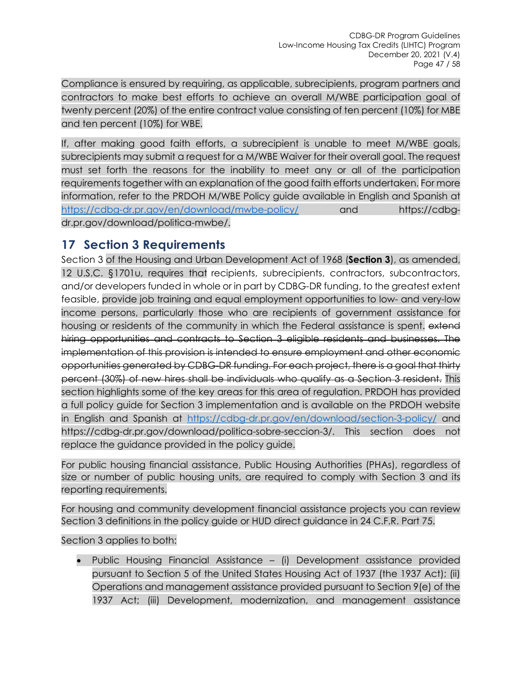Compliance is ensured by requiring, as applicable, subrecipients, program partners and contractors to make best efforts to achieve an overall M/WBE participation goal of twenty percent (20%) of the entire contract value consisting of ten percent (10%) for MBE and ten percent (10%) for WBE.

If, after making good faith efforts, a subrecipient is unable to meet M/WBE goals, subrecipients may submit a request for a M/WBE Waiver for their overall goal. The request must set forth the reasons for the inability to meet any or all of the participation requirements together with an explanation of the good faith efforts undertaken. For more information, refer to the PRDOH M/WBE Policy guide available in English and Spanish at <https://cdbg-dr.pr.gov/en/download/mwbe-policy/> and https://cdbgdr.pr.gov/download/politica-mwbe/.

# <span id="page-46-0"></span>**17 Section 3 Requirements**

Section 3 of the Housing and Urban Development Act of 1968 (**Section 3**), as amended, 12 U.S.C. §1701u, requires that recipients, subrecipients, contractors, subcontractors, and/or developers funded in whole or in part by CDBG-DR funding, to the greatest extent feasible, provide job training and equal employment opportunities to low- and very-low income persons, particularly those who are recipients of government assistance for housing or residents of the community in which the Federal assistance is spent. extend hiring opportunities and contracts to Section 3 eligible residents and businesses. The implementation of this provision is intended to ensure employment and other economic opportunities generated by CDBG-DR funding. For each project, there is a goal that thirty percent (30%) of new hires shall be individuals who qualify as a Section 3 resident. This section highlights some of the key areas for this area of regulation. PRDOH has provided a full policy guide for Section 3 implementation and is available on the PRDOH website in English and Spanish at <https://cdbg-dr.pr.gov/en/download/section-3-policy/> and https://cdbg-dr.pr.gov/download/politica-sobre-seccion-3/. This section does not replace the guidance provided in the policy guide.

For public housing financial assistance, Public Housing Authorities (PHAs), regardless of size or number of public housing units, are required to comply with Section 3 and its reporting requirements.

For housing and community development financial assistance projects you can review Section 3 definitions in the policy guide or HUD direct guidance in 24 C.F.R. Part 75.

Section 3 applies to both:

• Public Housing Financial Assistance – (i) Development assistance provided pursuant to Section 5 of the United States Housing Act of 1937 (the 1937 Act); (ii) Operations and management assistance provided pursuant to Section 9(e) of the 1937 Act; (iii) Development, modernization, and management assistance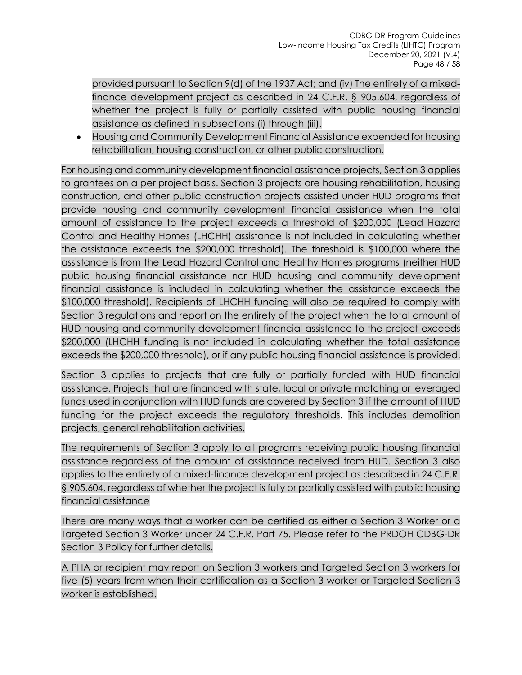provided pursuant to Section 9(d) of the 1937 Act; and (iv) The entirety of a mixedfinance development project as described in 24 C.F.R. § 905.604, regardless of whether the project is fully or partially assisted with public housing financial assistance as defined in subsections (i) through (iii).

• Housing and Community Development Financial Assistance expended for housing rehabilitation, housing construction, or other public construction.

For housing and community development financial assistance projects, Section 3 applies to grantees on a per project basis. Section 3 projects are housing rehabilitation, housing construction, and other public construction projects assisted under HUD programs that provide housing and community development financial assistance when the total amount of assistance to the project exceeds a threshold of \$200,000 (Lead Hazard Control and Healthy Homes (LHCHH) assistance is not included in calculating whether the assistance exceeds the \$200,000 threshold). The threshold is \$100,000 where the assistance is from the Lead Hazard Control and Healthy Homes programs (neither HUD public housing financial assistance nor HUD housing and community development financial assistance is included in calculating whether the assistance exceeds the \$100,000 threshold). Recipients of LHCHH funding will also be required to comply with Section 3 regulations and report on the entirety of the project when the total amount of HUD housing and community development financial assistance to the project exceeds \$200,000 (LHCHH funding is not included in calculating whether the total assistance exceeds the \$200,000 threshold), or if any public housing financial assistance is provided.

Section 3 applies to projects that are fully or partially funded with HUD financial assistance. Projects that are financed with state, local or private matching or leveraged funds used in conjunction with HUD funds are covered by Section 3 if the amount of HUD funding for the project exceeds the regulatory thresholds. This includes demolition projects, general rehabilitation activities.

The requirements of Section 3 apply to all programs receiving public housing financial assistance regardless of the amount of assistance received from HUD. Section 3 also applies to the entirety of a mixed-finance development project as described in 24 C.F.R. § 905.604, regardless of whether the project is fully or partially assisted with public housing financial assistance

There are many ways that a worker can be certified as either a Section 3 Worker or a Targeted Section 3 Worker under 24 C.F.R. Part 75. Please refer to the PRDOH CDBG-DR Section 3 Policy for further details.

A PHA or recipient may report on Section 3 workers and Targeted Section 3 workers for five (5) years from when their certification as a Section 3 worker or Targeted Section 3 worker is established.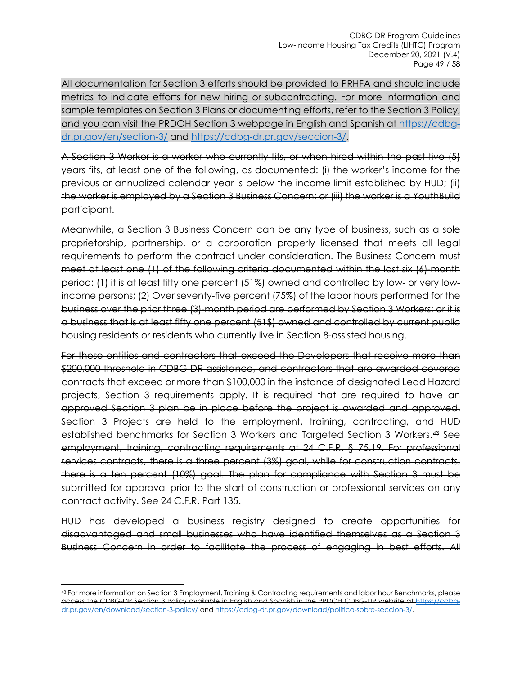All documentation for Section 3 efforts should be provided to PRHFA and should include metrics to indicate efforts for new hiring or subcontracting. For more information and sample templates on Section 3 Plans or documenting efforts, refer to the Section 3 Policy, and you can visit the PRDOH Section 3 webpage in English and Spanish at [https://cdbg](https://cdbg-dr.pr.gov/en/section-3/)[dr.pr.gov/en/section-3/](https://cdbg-dr.pr.gov/en/section-3/) and [https://cdbg-dr.pr.gov/seccion-3/.](https://cdbg-dr.pr.gov/seccion-3/)

A Section 3 Worker is a worker who currently fits, or when hired within the past five (5) years fits, at least one of the following, as documented: (i) the worker's income for the previous or annualized calendar year is below the income limit established by HUD; (ii) the worker is employed by a Section 3 Business Concern; or (iii) the worker is a YouthBuild participant.

Meanwhile, a Section 3 Business Concern can be any type of business, such as a sole proprietorship, partnership, or a corporation properly licensed that meets all legal requirements to perform the contract under consideration. The Business Concern must meet at least one (1) of the following criteria documented within the last six (6)-month period: (1) it is at least fifty one percent (51%) owned and controlled by low- or very lowincome persons; (2) Over seventy-five percent (75%) of the labor hours performed for the business over the prior three (3)-month period are performed by Section 3 Workers; or it is a business that is at least fifty one percent (51\$) owned and controlled by current public housing residents or residents who currently live in Section 8-assisted housing.

For those entities and contractors that exceed the Developers that receive more than \$200,000 threshold in CDBG-DR assistance, and contractors that are awarded covered contracts that exceed or more than \$100,000 in the instance of designated Lead Hazard projects, Section 3 requirements apply. It is required that are required to have an approved Section 3 plan be in place before the project is awarded and approved. Section 3 Projects are held to the employment, training, contracting, and HUD established benchmarks for Section 3 Workers and Targeted Section 3 Workers.[43](#page-48-0) See employment, training, contracting requirements at 24 C.F.R. § 75.19. For professional services contracts, there is a three percent (3%) goal, while for construction contracts, there is a ten percent (10%) goal. The plan for compliance with Section 3 must be submitted for approval prior to the start of construction or professional services on any contract activity. See 24 C.F.R. Part 135.

HUD has developed a business registry designed to create opportunities for disadvantaged and small businesses who have identified themselves as a Section 3 Business Concern in order to facilitate the process of engaging in best efforts. All

<span id="page-48-0"></span> <sup>43</sup> For more information on Section 3 Employment, Training & Contracting requirements and labor hour Benchmarks, please access the CDBG-DR Section 3 Policy available in English and Spanish in the PRDOH CDBG-DR website at [https://cdbg](https://cdbg-dr.pr.gov/en/download/section-3-policy/)[dr.pr.gov/en/download/section-3-policy/](https://cdbg-dr.pr.gov/en/download/section-3-policy/) an[d https://cdbg-dr.pr.gov/download/politica-sobre-seccion-3/.](https://cdbg-dr.pr.gov/download/politica-sobre-seccion-3/)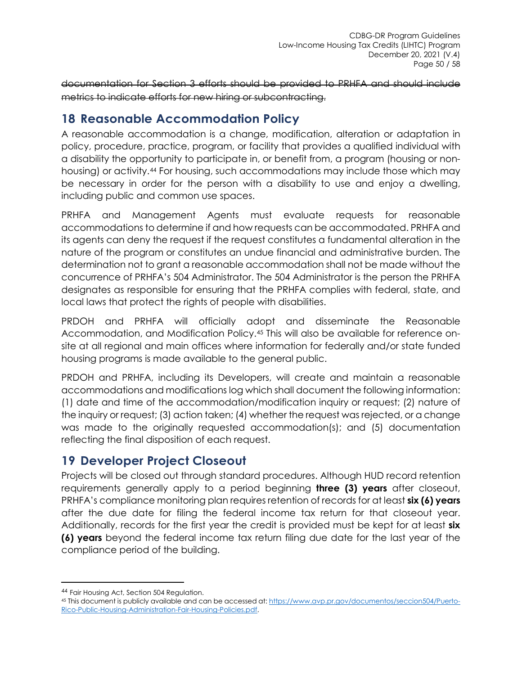documentation for Section 3 efforts should be provided to PRHFA and should include metrics to indicate efforts for new hiring or subcontracting.

# <span id="page-49-0"></span>**18 Reasonable Accommodation Policy**

A reasonable accommodation is a change, modification, alteration or adaptation in policy, procedure, practice, program, or facility that provides a qualified individual with a disability the opportunity to participate in, or benefit from, a program (housing or nonhousing) or activity.[44](#page-49-2) For housing, such accommodations may include those which may be necessary in order for the person with a disability to use and enjoy a dwelling, including public and common use spaces.

PRHFA and Management Agents must evaluate requests for reasonable accommodations to determine if and how requests can be accommodated. PRHFA and its agents can deny the request if the request constitutes a fundamental alteration in the nature of the program or constitutes an undue financial and administrative burden. The determination not to grant a reasonable accommodation shall not be made without the concurrence of PRHFA's 504 Administrator. The 504 Administrator is the person the PRHFA designates as responsible for ensuring that the PRHFA complies with federal, state, and local laws that protect the rights of people with disabilities.

PRDOH and PRHFA will officially adopt and disseminate the Reasonable Accommodation, and Modification Policy[.45](#page-49-3) This will also be available for reference onsite at all regional and main offices where information for federally and/or state funded housing programs is made available to the general public.

PRDOH and PRHFA, including its Developers, will create and maintain a reasonable accommodations and modifications log which shall document the following information: (1) date and time of the accommodation/modification inquiry or request; (2) nature of the inquiry or request; (3) action taken; (4) whether the request was rejected, or a change was made to the originally requested accommodation(s); and (5) documentation reflecting the final disposition of each request.

# <span id="page-49-1"></span>**19 Developer Project Closeout**

Projects will be closed out through standard procedures. Although HUD record retention requirements generally apply to a period beginning **three (3) years** after closeout, PRHFA's compliance monitoring plan requires retention of records for at least **six (6) years** after the due date for filing the federal income tax return for that closeout year. Additionally, records for the first year the credit is provided must be kept for at least **six (6) years** beyond the federal income tax return filing due date for the last year of the compliance period of the building.

<span id="page-49-2"></span><sup>44</sup> Fair Housing Act, Section 504 Regulation.

<span id="page-49-3"></span><sup>45</sup> This document is publicly available and can be accessed at[: https://www.avp.pr.gov/documentos/seccion504/Puerto-](https://www.avp.pr.gov/documentos/seccion504/Puerto-Rico-Public-Housing-Administration-Fair-Housing-Policies.pdf)[Rico-Public-Housing-Administration-Fair-Housing-Policies.pdf.](https://www.avp.pr.gov/documentos/seccion504/Puerto-Rico-Public-Housing-Administration-Fair-Housing-Policies.pdf)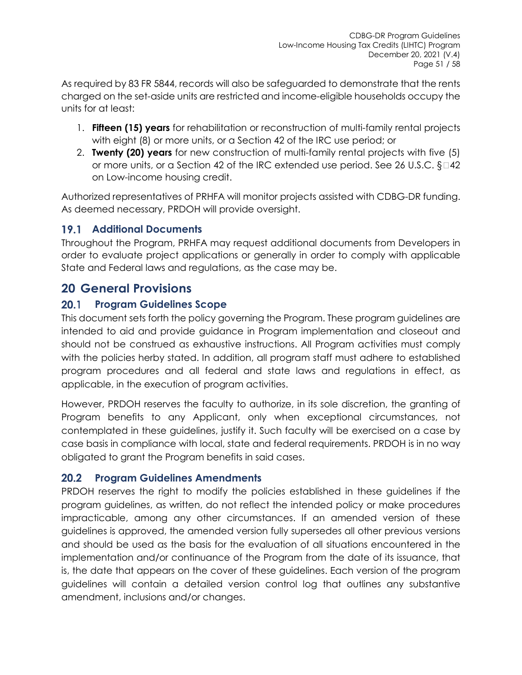As required by 83 FR 5844, records will also be safeguarded to demonstrate that the rents charged on the set-aside units are restricted and income-eligible households occupy the units for at least:

- 1. **Fifteen (15) years** for rehabilitation or reconstruction of multi-family rental projects with eight (8) or more units, or a Section 42 of the IRC use period; or
- 2. **Twenty (20) years** for new construction of multi-family rental projects with five (5) or more units, or a Section 42 of the IRC extended use period. See 26 U.S.C. § 42 on Low-income housing credit.

Authorized representatives of PRHFA will monitor projects assisted with CDBG-DR funding. As deemed necessary, PRDOH will provide oversight.

### <span id="page-50-0"></span>**Additional Documents**

Throughout the Program, PRHFA may request additional documents from Developers in order to evaluate project applications or generally in order to comply with applicable State and Federal laws and regulations, as the case may be.

# <span id="page-50-1"></span>**20 General Provisions**

#### <span id="page-50-2"></span> $20.1$ **Program Guidelines Scope**

This document sets forth the policy governing the Program. These program guidelines are intended to aid and provide guidance in Program implementation and closeout and should not be construed as exhaustive instructions. All Program activities must comply with the policies herby stated. In addition, all program staff must adhere to established program procedures and all federal and state laws and regulations in effect, as applicable, in the execution of program activities.

However, PRDOH reserves the faculty to authorize, in its sole discretion, the granting of Program benefits to any Applicant, only when exceptional circumstances, not contemplated in these guidelines, justify it. Such faculty will be exercised on a case by case basis in compliance with local, state and federal requirements. PRDOH is in no way obligated to grant the Program benefits in said cases.

### <span id="page-50-3"></span>**Program Guidelines Amendments**

PRDOH reserves the right to modify the policies established in these guidelines if the program guidelines, as written, do not reflect the intended policy or make procedures impracticable, among any other circumstances. If an amended version of these guidelines is approved, the amended version fully supersedes all other previous versions and should be used as the basis for the evaluation of all situations encountered in the implementation and/or continuance of the Program from the date of its issuance, that is, the date that appears on the cover of these guidelines. Each version of the program guidelines will contain a detailed version control log that outlines any substantive amendment, inclusions and/or changes.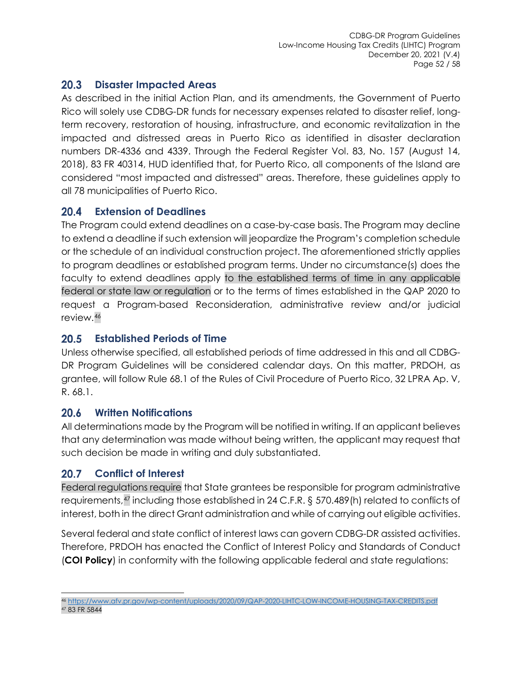#### <span id="page-51-0"></span>**Disaster Impacted Areas**  $20.3$

As described in the initial Action Plan, and its amendments, the Government of Puerto Rico will solely use CDBG-DR funds for necessary expenses related to disaster relief, longterm recovery, restoration of housing, infrastructure, and economic revitalization in the impacted and distressed areas in Puerto Rico as identified in disaster declaration numbers DR-4336 and 4339. Through the Federal Register Vol. 83, No. 157 (August 14, 2018), 83 FR 40314, HUD identified that, for Puerto Rico, all components of the Island are considered "most impacted and distressed" areas. Therefore, these guidelines apply to all 78 municipalities of Puerto Rico.

#### <span id="page-51-1"></span> $20.4$ **Extension of Deadlines**

The Program could extend deadlines on a case-by-case basis. The Program may decline to extend a deadline if such extension will jeopardize the Program's completion schedule or the schedule of an individual construction project. The aforementioned strictly applies to program deadlines or established program terms. Under no circumstance(s) does the faculty to extend deadlines apply to the established terms of time in any applicable federal or state law or regulation or to the terms of times established in the QAP 2020 to request a Program-based Reconsideration, administrative review and/or judicial review.[46](#page-51-5)

#### <span id="page-51-2"></span>**Established Periods of Time**

Unless otherwise specified, all established periods of time addressed in this and all CDBG-DR Program Guidelines will be considered calendar days. On this matter, PRDOH, as grantee, will follow Rule 68.1 of the Rules of Civil Procedure of Puerto Rico, 32 LPRA Ap. V, R. 68.1.

#### <span id="page-51-3"></span>**Written Notifications**   $20.6$

All determinations made by the Program will be notified in writing. If an applicant believes that any determination was made without being written, the applicant may request that such decision be made in writing and duly substantiated.

#### <span id="page-51-4"></span> $20.7$ **Conflict of Interest**

Federal regulations require that State grantees be responsible for program administrative requirements,[47](#page-51-6) including those established in 24 C.F.R. § 570.489(h) related to conflicts of interest, both in the direct Grant administration and while of carrying out eligible activities.

Several federal and state conflict of interest laws can govern CDBG-DR assisted activities. Therefore, PRDOH has enacted the Conflict of Interest Policy and Standards of Conduct (**COI Policy**) in conformity with the following applicable federal and state regulations:

<span id="page-51-6"></span><span id="page-51-5"></span> <sup>46</sup> <https://www.afv.pr.gov/wp-content/uploads/2020/09/QAP-2020-LIHTC-LOW-INCOME-HOUSING-TAX-CREDITS.pdf> <sup>47</sup> 83 FR 5844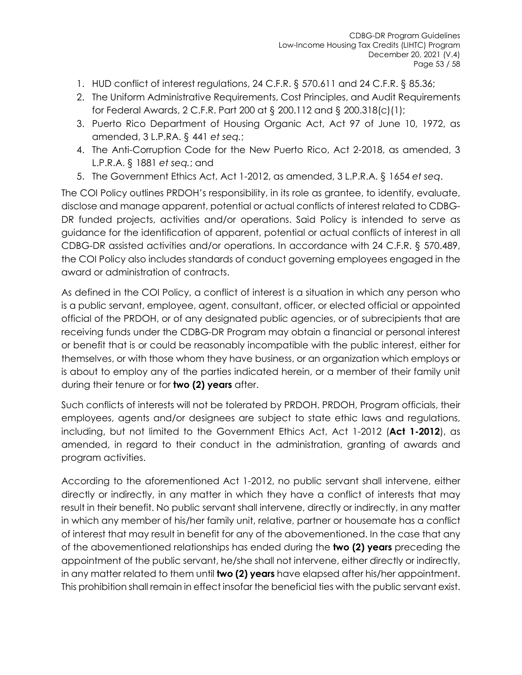- 1. HUD conflict of interest regulations, 24 C.F.R. § 570.611 and 24 C.F.R. § 85.36;
- 2. The Uniform Administrative Requirements, Cost Principles, and Audit Requirements for Federal Awards, 2 C.F.R. Part 200 at § 200.112 and § 200.318(c)(1);
- 3. Puerto Rico Department of Housing Organic Act, Act 97 of June 10, 1972, as amended, 3 L.P.RA. § 441 *et seq.*;
- 4. The Anti-Corruption Code for the New Puerto Rico, Act 2-2018, as amended, 3 L.P.R.A. § 1881 *et seq.*; and
- 5. The Government Ethics Act, Act 1-2012, as amended, 3 L.P.R.A. § 1654 *et seq*.

The COI Policy outlines PRDOH's responsibility, in its role as grantee, to identify, evaluate, disclose and manage apparent, potential or actual conflicts of interest related to CDBG-DR funded projects, activities and/or operations. Said Policy is intended to serve as guidance for the identification of apparent, potential or actual conflicts of interest in all CDBG-DR assisted activities and/or operations. In accordance with 24 C.F.R. § 570.489, the COI Policy also includes standards of conduct governing employees engaged in the award or administration of contracts.

As defined in the COI Policy, a conflict of interest is a situation in which any person who is a public servant, employee, agent, consultant, officer, or elected official or appointed official of the PRDOH, or of any designated public agencies, or of subrecipients that are receiving funds under the CDBG-DR Program may obtain a financial or personal interest or benefit that is or could be reasonably incompatible with the public interest, either for themselves, or with those whom they have business, or an organization which employs or is about to employ any of the parties indicated herein, or a member of their family unit during their tenure or for **two (2) years** after.

Such conflicts of interests will not be tolerated by PRDOH. PRDOH, Program officials, their employees, agents and/or designees are subject to state ethic laws and regulations, including, but not limited to the Government Ethics Act, Act 1-2012 (**Act 1-2012**), as amended, in regard to their conduct in the administration, granting of awards and program activities.

According to the aforementioned Act 1-2012, no public servant shall intervene, either directly or indirectly, in any matter in which they have a conflict of interests that may result in their benefit. No public servant shall intervene, directly or indirectly, in any matter in which any member of his/her family unit, relative, partner or housemate has a conflict of interest that may result in benefit for any of the abovementioned. In the case that any of the abovementioned relationships has ended during the **two (2) years** preceding the appointment of the public servant, he/she shall not intervene, either directly or indirectly, in any matter related to them until **two (2) years** have elapsed after his/her appointment. This prohibition shall remain in effect insofar the beneficial ties with the public servant exist.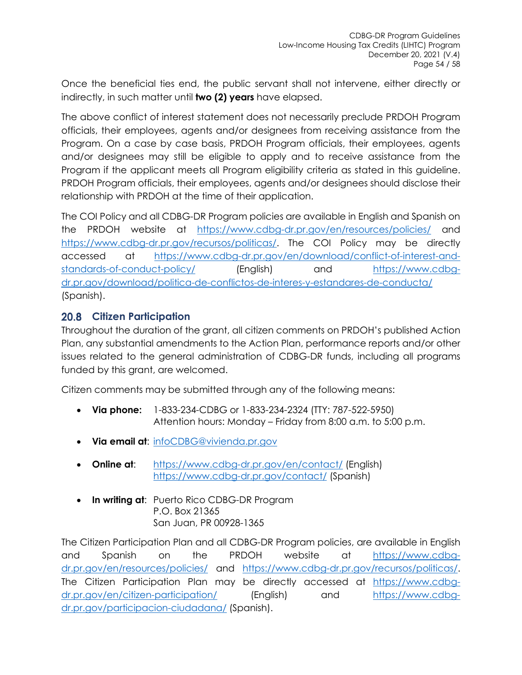Once the beneficial ties end, the public servant shall not intervene, either directly or indirectly, in such matter until **two (2) years** have elapsed.

The above conflict of interest statement does not necessarily preclude PRDOH Program officials, their employees, agents and/or designees from receiving assistance from the Program. On a case by case basis, PRDOH Program officials, their employees, agents and/or designees may still be eligible to apply and to receive assistance from the Program if the applicant meets all Program eligibility criteria as stated in this guideline. PRDOH Program officials, their employees, agents and/or designees should disclose their relationship with PRDOH at the time of their application.

The COI Policy and all CDBG-DR Program policies are available in English and Spanish on the PRDOH website at <https://www.cdbg-dr.pr.gov/en/resources/policies/> and [https://www.cdbg-dr.pr.gov/recursos/politicas/.](https://www.cdbg-dr.pr.gov/recursos/politicas/) The COI Policy may be directly accessed at [https://www.cdbg-dr.pr.gov/en/download/conflict-of-interest-and](https://www.cdbg-dr.pr.gov/en/download/conflict-of-interest-and-standards-of-conduct-policy/)[standards-of-conduct-policy/](https://www.cdbg-dr.pr.gov/en/download/conflict-of-interest-and-standards-of-conduct-policy/) (English) and [https://www.cdbg](https://www.cdbg-dr.pr.gov/download/politica-de-conflictos-de-interes-y-estandares-de-conducta/)[dr.pr.gov/download/politica-de-conflictos-de-interes-y-estandares-de-conducta/](https://www.cdbg-dr.pr.gov/download/politica-de-conflictos-de-interes-y-estandares-de-conducta/) (Spanish).

### <span id="page-53-0"></span>**Citizen Participation**

Throughout the duration of the grant, all citizen comments on PRDOH's published Action Plan, any substantial amendments to the Action Plan, performance reports and/or other issues related to the general administration of CDBG-DR funds, including all programs funded by this grant, are welcomed.

Citizen comments may be submitted through any of the following means:

- **Via phone:** 1-833-234-CDBG or 1-833-234-2324 (TTY: 787-522-5950) Attention hours: Monday – Friday from 8:00 a.m. to 5:00 p.m.
- **Via email at**: [infoCDBG@vivienda.pr.gov](mailto:infoCDBG@vivienda.pr.gov)
- **Online at:** <https://www.cdbg-dr.pr.gov/en/contact/> (English) <https://www.cdbg-dr.pr.gov/contact/> (Spanish)
- **In writing at**: Puerto Rico CDBG-DR Program P.O. Box 21365 San Juan, PR 00928-1365

The Citizen Participation Plan and all CDBG-DR Program policies, are available in English and Spanish on the PRDOH website at [https://www.cdbg](https://www.cdbg-dr.pr.gov/en/resources/policies/)[dr.pr.gov/en/resources/policies/](https://www.cdbg-dr.pr.gov/en/resources/policies/) and [https://www.cdbg-dr.pr.gov/recursos/politicas/.](https://www.cdbg-dr.pr.gov/recursos/politicas/) The Citizen Participation Plan may be directly accessed at [https://www.cdbg](https://www.cdbg-dr.pr.gov/en/citizen-participation/)[dr.pr.gov/en/citizen-participation/](https://www.cdbg-dr.pr.gov/en/citizen-participation/) (English) and [https://www.cdbg](https://www.cdbg-dr.pr.gov/participacion-ciudadana/)[dr.pr.gov/participacion-ciudadana/](https://www.cdbg-dr.pr.gov/participacion-ciudadana/) (Spanish).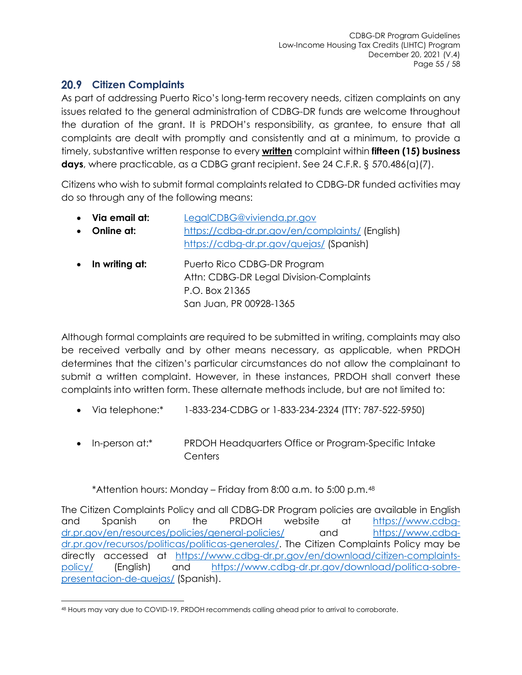### <span id="page-54-0"></span>**Citizen Complaints**

As part of addressing Puerto Rico's long-term recovery needs, citizen complaints on any issues related to the general administration of CDBG-DR funds are welcome throughout the duration of the grant. It is PRDOH's responsibility, as grantee, to ensure that all complaints are dealt with promptly and consistently and at a minimum, to provide a timely, substantive written response to every **written** complaint within **fifteen (15) business days**, where practicable, as a CDBG grant recipient. See 24 C.F.R. § 570.486(a)(7).

Citizens who wish to submit formal complaints related to CDBG-DR funded activities may do so through any of the following means:

| $\bullet$ | Via email at:  | LegalCDBG@vivienda.pr.gov                                                                   |
|-----------|----------------|---------------------------------------------------------------------------------------------|
| $\bullet$ | Online at:     | https://cdbg-dr.pr.gov/en/complaints/ (English)<br>https://cdbg-dr.pr.gov/quejas/ (Spanish) |
| $\bullet$ | In writing at: | Puerto Rico CDBG-DR Program<br>Attn: CDBG-DR Legal Division-Complaints<br>P.O. Box 21365    |
|           |                | San Juan, PR 00928-1365                                                                     |

Although formal complaints are required to be submitted in writing, complaints may also be received verbally and by other means necessary, as applicable, when PRDOH determines that the citizen's particular circumstances do not allow the complainant to submit a written complaint. However, in these instances, PRDOH shall convert these complaints into written form. These alternate methods include, but are not limited to:

- Via telephone:\* 1-833-234-CDBG or 1-833-234-2324 (TTY: 787-522-5950)
- In-person at:\* PRDOH Headquarters Office or Program-Specific Intake Centers

\*Attention hours: Monday – Friday from 8:00 a.m. to 5:00 p.m.[48](#page-54-1)

The Citizen Complaints Policy and all CDBG-DR Program policies are available in English and Spanish on the PRDOH website at [https://www.cdbg](https://www.cdbg-dr.pr.gov/en/resources/policies/general-policies/)[dr.pr.gov/en/resources/policies/general-policies/](https://www.cdbg-dr.pr.gov/en/resources/policies/general-policies/) and [https://www.cdbg](https://www.cdbg-dr.pr.gov/recursos/politicas/politicas-generales/)[dr.pr.gov/recursos/politicas/politicas-generales/.](https://www.cdbg-dr.pr.gov/recursos/politicas/politicas-generales/) The Citizen Complaints Policy may be directly accessed at [https://www.cdbg-dr.pr.gov/en/download/citizen-complaints](https://www.cdbg-dr.pr.gov/en/download/citizen-complaints-policy/)[policy/](https://www.cdbg-dr.pr.gov/en/download/citizen-complaints-policy/) (English) and [https://www.cdbg-dr.pr.gov/download/politica-sobre](https://www.cdbg-dr.pr.gov/download/politica-sobre-presentacion-de-quejas/)[presentacion-de-quejas/](https://www.cdbg-dr.pr.gov/download/politica-sobre-presentacion-de-quejas/) (Spanish).

<span id="page-54-1"></span> <sup>48</sup> Hours may vary due to COVID-19. PRDOH recommends calling ahead prior to arrival to corroborate.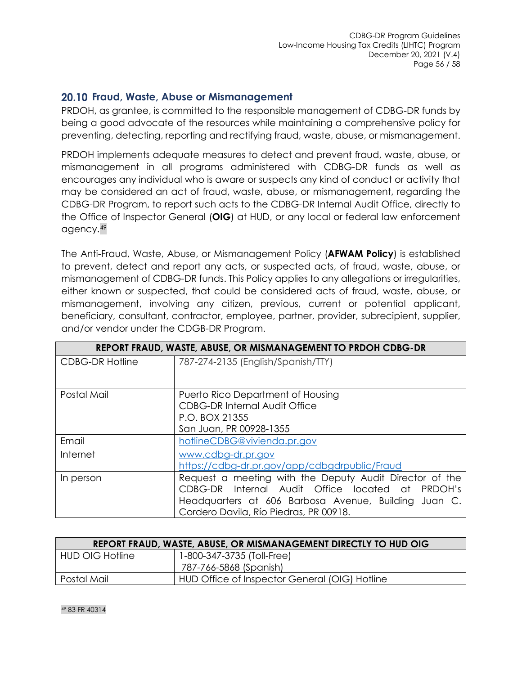#### <span id="page-55-0"></span>**Fraud, Waste, Abuse or Mismanagement**

PRDOH, as grantee, is committed to the responsible management of CDBG-DR funds by being a good advocate of the resources while maintaining a comprehensive policy for preventing, detecting, reporting and rectifying fraud, waste, abuse, or mismanagement.

PRDOH implements adequate measures to detect and prevent fraud, waste, abuse, or mismanagement in all programs administered with CDBG-DR funds as well as encourages any individual who is aware or suspects any kind of conduct or activity that may be considered an act of fraud, waste, abuse, or mismanagement, regarding the CDBG-DR Program, to report such acts to the CDBG-DR Internal Audit Office, directly to the Office of Inspector General (**OIG**) at HUD, or any local or federal law enforcement agency.[49](#page-55-1)

The Anti-Fraud, Waste, Abuse, or Mismanagement Policy (**AFWAM Policy**) is established to prevent, detect and report any acts, or suspected acts, of fraud, waste, abuse, or mismanagement of CDBG-DR funds. This Policy applies to any allegations or irregularities, either known or suspected, that could be considered acts of fraud, waste, abuse, or mismanagement, involving any citizen, previous, current or potential applicant, beneficiary, consultant, contractor, employee, partner, provider, subrecipient, supplier, and/or vendor under the CDGB-DR Program.

| REPORT FRAUD, WASTE, ABUSE, OR MISMANAGEMENT TO PRDOH CDBG-DR |                                                                                                                                                                                                               |  |
|---------------------------------------------------------------|---------------------------------------------------------------------------------------------------------------------------------------------------------------------------------------------------------------|--|
| <b>CDBG-DR Hotline</b>                                        | 787-274-2135 (English/Spanish/TTY)                                                                                                                                                                            |  |
| Postal Mail                                                   | Puerto Rico Department of Housing<br><b>CDBG-DR Internal Audit Office</b><br>P.O. BOX 21355<br>San Juan, PR 00928-1355                                                                                        |  |
| Email                                                         | hotlineCDBG@vivienda.pr.gov                                                                                                                                                                                   |  |
| Internet                                                      | www.cdbg-dr.pr.gov<br>https://cdbg-dr.pr.gov/app/cdbgdrpublic/Fraud                                                                                                                                           |  |
| In person                                                     | Request a meeting with the Deputy Audit Director of the<br>CDBG-DR Internal Audit Office located at PRDOH's<br>Headquarters at 606 Barbosa Avenue, Building Juan C.<br>Cordero Davila, Río Piedras, PR 00918. |  |

| REPORT FRAUD, WASTE, ABUSE, OR MISMANAGEMENT DIRECTLY TO HUD OIG |                                               |  |
|------------------------------------------------------------------|-----------------------------------------------|--|
| HUD OIG Hotline                                                  | 1-800-347-3735 (Toll-Free)                    |  |
|                                                                  | 787-766-5868 (Spanish)                        |  |
| Postal Mail                                                      | HUD Office of Inspector General (OIG) Hotline |  |

<span id="page-55-1"></span>49 83 FR 40314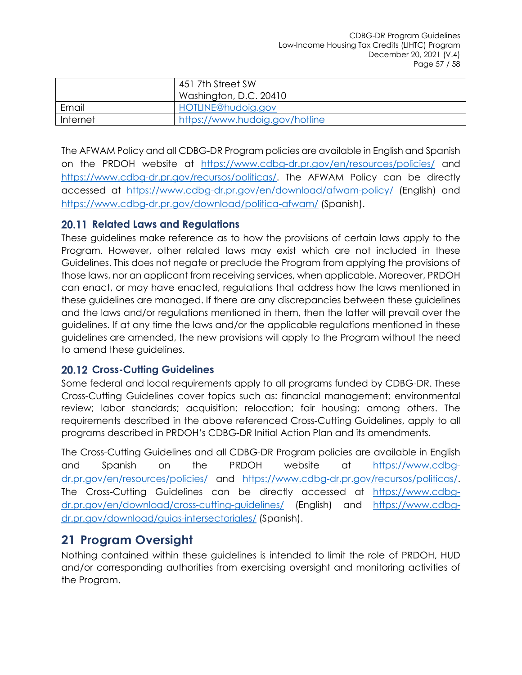|          | 451 7th Street SW<br>Washington, D.C. 20410 |
|----------|---------------------------------------------|
| Email    | HOTLINE@hudoig.gov                          |
| Internet | https://www.hudoig.gov/hotline              |

The AFWAM Policy and all CDBG-DR Program policies are available in English and Spanish on the PRDOH website at <https://www.cdbg-dr.pr.gov/en/resources/policies/> and [https://www.cdbg-dr.pr.gov/recursos/politicas/.](https://www.cdbg-dr.pr.gov/recursos/politicas/) The AFWAM Policy can be directly accessed at <https://www.cdbg-dr.pr.gov/en/download/afwam-policy/> (English) and <https://www.cdbg-dr.pr.gov/download/politica-afwam/> (Spanish).

#### <span id="page-56-0"></span>**20.11 Related Laws and Regulations**

These guidelines make reference as to how the provisions of certain laws apply to the Program. However, other related laws may exist which are not included in these Guidelines. This does not negate or preclude the Program from applying the provisions of those laws, nor an applicant from receiving services, when applicable. Moreover, PRDOH can enact, or may have enacted, regulations that address how the laws mentioned in these guidelines are managed. If there are any discrepancies between these guidelines and the laws and/or regulations mentioned in them, then the latter will prevail over the guidelines. If at any time the laws and/or the applicable regulations mentioned in these guidelines are amended, the new provisions will apply to the Program without the need to amend these guidelines.

#### <span id="page-56-1"></span>**20.12 Cross-Cutting Guidelines**

Some federal and local requirements apply to all programs funded by CDBG-DR. These Cross-Cutting Guidelines cover topics such as: financial management; environmental review; labor standards; acquisition; relocation; fair housing; among others. The requirements described in the above referenced Cross-Cutting Guidelines, apply to all programs described in PRDOH's CDBG-DR Initial Action Plan and its amendments.

The Cross-Cutting Guidelines and all CDBG-DR Program policies are available in English and Spanish on the PRDOH website at [https://www.cdbg](https://www.cdbg-dr.pr.gov/en/resources/policies/)[dr.pr.gov/en/resources/policies/](https://www.cdbg-dr.pr.gov/en/resources/policies/) and [https://www.cdbg-dr.pr.gov/recursos/politicas/.](https://www.cdbg-dr.pr.gov/recursos/politicas/) The Cross-Cutting Guidelines can be directly accessed at [https://www.cdbg](https://www.cdbg-dr.pr.gov/en/download/cross-cutting-guidelines/)[dr.pr.gov/en/download/cross-cutting-guidelines/](https://www.cdbg-dr.pr.gov/en/download/cross-cutting-guidelines/) (English) and [https://www.cdbg](https://www.cdbg-dr.pr.gov/download/guias-intersectoriales/)[dr.pr.gov/download/guias-intersectoriales/](https://www.cdbg-dr.pr.gov/download/guias-intersectoriales/) (Spanish).

### <span id="page-56-2"></span>**21 Program Oversight**

Nothing contained within these guidelines is intended to limit the role of PRDOH, HUD and/or corresponding authorities from exercising oversight and monitoring activities of the Program.